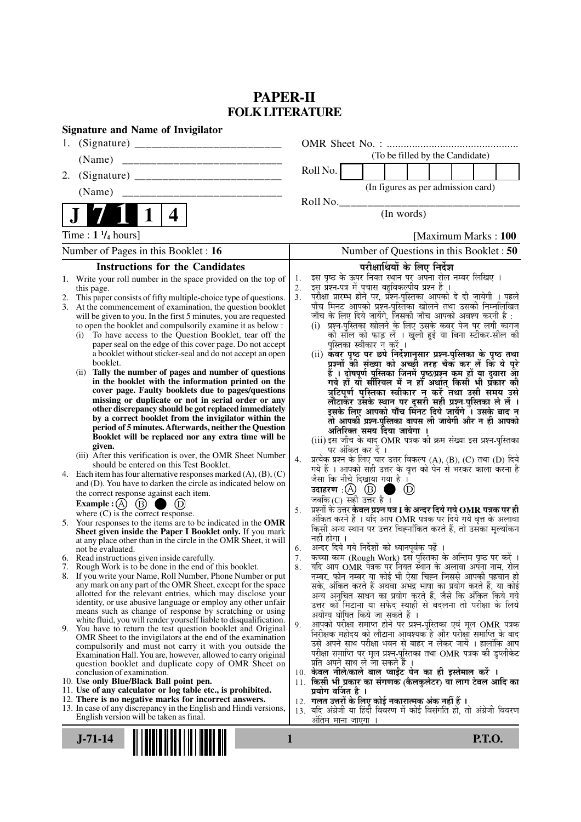# **PAPER-II FOLK LITERATURE**

| <b>Signature and Name of Invigilator</b>                                                                                                                                                                                                                                                                                                                                                                                                                                                                                                                                                                                                                                                                                                                                                                                                                                                                                                                                                                                                                                                                                                                                                                                                                                                                                                                                                                                                                                                                                                                                                                                                                                                                                                                                                                                                                                                                                                                                                                                                                                                                                                                                                                                                                                                                                                                                                                                                                                                         |                                                                                                                                                                                                                                                                                                                                                                                                                                                                                                                                                                                                                                                                                                                                                                                                                                                                                                                                                                                                                                                                                                                                                                                                                                                                                                                                                                                                                                                                                                                                                                                                                                                                                                                                                                                                                                                                                                                                                                                                                                                                                                                                                                                                                                                                                                                                                                                                                                                         |
|--------------------------------------------------------------------------------------------------------------------------------------------------------------------------------------------------------------------------------------------------------------------------------------------------------------------------------------------------------------------------------------------------------------------------------------------------------------------------------------------------------------------------------------------------------------------------------------------------------------------------------------------------------------------------------------------------------------------------------------------------------------------------------------------------------------------------------------------------------------------------------------------------------------------------------------------------------------------------------------------------------------------------------------------------------------------------------------------------------------------------------------------------------------------------------------------------------------------------------------------------------------------------------------------------------------------------------------------------------------------------------------------------------------------------------------------------------------------------------------------------------------------------------------------------------------------------------------------------------------------------------------------------------------------------------------------------------------------------------------------------------------------------------------------------------------------------------------------------------------------------------------------------------------------------------------------------------------------------------------------------------------------------------------------------------------------------------------------------------------------------------------------------------------------------------------------------------------------------------------------------------------------------------------------------------------------------------------------------------------------------------------------------------------------------------------------------------------------------------------------------|---------------------------------------------------------------------------------------------------------------------------------------------------------------------------------------------------------------------------------------------------------------------------------------------------------------------------------------------------------------------------------------------------------------------------------------------------------------------------------------------------------------------------------------------------------------------------------------------------------------------------------------------------------------------------------------------------------------------------------------------------------------------------------------------------------------------------------------------------------------------------------------------------------------------------------------------------------------------------------------------------------------------------------------------------------------------------------------------------------------------------------------------------------------------------------------------------------------------------------------------------------------------------------------------------------------------------------------------------------------------------------------------------------------------------------------------------------------------------------------------------------------------------------------------------------------------------------------------------------------------------------------------------------------------------------------------------------------------------------------------------------------------------------------------------------------------------------------------------------------------------------------------------------------------------------------------------------------------------------------------------------------------------------------------------------------------------------------------------------------------------------------------------------------------------------------------------------------------------------------------------------------------------------------------------------------------------------------------------------------------------------------------------------------------------------------------------------|
| 1.                                                                                                                                                                                                                                                                                                                                                                                                                                                                                                                                                                                                                                                                                                                                                                                                                                                                                                                                                                                                                                                                                                                                                                                                                                                                                                                                                                                                                                                                                                                                                                                                                                                                                                                                                                                                                                                                                                                                                                                                                                                                                                                                                                                                                                                                                                                                                                                                                                                                                               |                                                                                                                                                                                                                                                                                                                                                                                                                                                                                                                                                                                                                                                                                                                                                                                                                                                                                                                                                                                                                                                                                                                                                                                                                                                                                                                                                                                                                                                                                                                                                                                                                                                                                                                                                                                                                                                                                                                                                                                                                                                                                                                                                                                                                                                                                                                                                                                                                                                         |
| (Name)                                                                                                                                                                                                                                                                                                                                                                                                                                                                                                                                                                                                                                                                                                                                                                                                                                                                                                                                                                                                                                                                                                                                                                                                                                                                                                                                                                                                                                                                                                                                                                                                                                                                                                                                                                                                                                                                                                                                                                                                                                                                                                                                                                                                                                                                                                                                                                                                                                                                                           | (To be filled by the Candidate)                                                                                                                                                                                                                                                                                                                                                                                                                                                                                                                                                                                                                                                                                                                                                                                                                                                                                                                                                                                                                                                                                                                                                                                                                                                                                                                                                                                                                                                                                                                                                                                                                                                                                                                                                                                                                                                                                                                                                                                                                                                                                                                                                                                                                                                                                                                                                                                                                         |
| 2.                                                                                                                                                                                                                                                                                                                                                                                                                                                                                                                                                                                                                                                                                                                                                                                                                                                                                                                                                                                                                                                                                                                                                                                                                                                                                                                                                                                                                                                                                                                                                                                                                                                                                                                                                                                                                                                                                                                                                                                                                                                                                                                                                                                                                                                                                                                                                                                                                                                                                               | Roll No.                                                                                                                                                                                                                                                                                                                                                                                                                                                                                                                                                                                                                                                                                                                                                                                                                                                                                                                                                                                                                                                                                                                                                                                                                                                                                                                                                                                                                                                                                                                                                                                                                                                                                                                                                                                                                                                                                                                                                                                                                                                                                                                                                                                                                                                                                                                                                                                                                                                |
| (Name)                                                                                                                                                                                                                                                                                                                                                                                                                                                                                                                                                                                                                                                                                                                                                                                                                                                                                                                                                                                                                                                                                                                                                                                                                                                                                                                                                                                                                                                                                                                                                                                                                                                                                                                                                                                                                                                                                                                                                                                                                                                                                                                                                                                                                                                                                                                                                                                                                                                                                           | (In figures as per admission card)                                                                                                                                                                                                                                                                                                                                                                                                                                                                                                                                                                                                                                                                                                                                                                                                                                                                                                                                                                                                                                                                                                                                                                                                                                                                                                                                                                                                                                                                                                                                                                                                                                                                                                                                                                                                                                                                                                                                                                                                                                                                                                                                                                                                                                                                                                                                                                                                                      |
|                                                                                                                                                                                                                                                                                                                                                                                                                                                                                                                                                                                                                                                                                                                                                                                                                                                                                                                                                                                                                                                                                                                                                                                                                                                                                                                                                                                                                                                                                                                                                                                                                                                                                                                                                                                                                                                                                                                                                                                                                                                                                                                                                                                                                                                                                                                                                                                                                                                                                                  | Roll No.<br>(In words)                                                                                                                                                                                                                                                                                                                                                                                                                                                                                                                                                                                                                                                                                                                                                                                                                                                                                                                                                                                                                                                                                                                                                                                                                                                                                                                                                                                                                                                                                                                                                                                                                                                                                                                                                                                                                                                                                                                                                                                                                                                                                                                                                                                                                                                                                                                                                                                                                                  |
| 4                                                                                                                                                                                                                                                                                                                                                                                                                                                                                                                                                                                                                                                                                                                                                                                                                                                                                                                                                                                                                                                                                                                                                                                                                                                                                                                                                                                                                                                                                                                                                                                                                                                                                                                                                                                                                                                                                                                                                                                                                                                                                                                                                                                                                                                                                                                                                                                                                                                                                                |                                                                                                                                                                                                                                                                                                                                                                                                                                                                                                                                                                                                                                                                                                                                                                                                                                                                                                                                                                                                                                                                                                                                                                                                                                                                                                                                                                                                                                                                                                                                                                                                                                                                                                                                                                                                                                                                                                                                                                                                                                                                                                                                                                                                                                                                                                                                                                                                                                                         |
| Time : $1 \frac{1}{4}$ hours]                                                                                                                                                                                                                                                                                                                                                                                                                                                                                                                                                                                                                                                                                                                                                                                                                                                                                                                                                                                                                                                                                                                                                                                                                                                                                                                                                                                                                                                                                                                                                                                                                                                                                                                                                                                                                                                                                                                                                                                                                                                                                                                                                                                                                                                                                                                                                                                                                                                                    | [Maximum Marks: 100]                                                                                                                                                                                                                                                                                                                                                                                                                                                                                                                                                                                                                                                                                                                                                                                                                                                                                                                                                                                                                                                                                                                                                                                                                                                                                                                                                                                                                                                                                                                                                                                                                                                                                                                                                                                                                                                                                                                                                                                                                                                                                                                                                                                                                                                                                                                                                                                                                                    |
| Number of Pages in this Booklet : 16                                                                                                                                                                                                                                                                                                                                                                                                                                                                                                                                                                                                                                                                                                                                                                                                                                                                                                                                                                                                                                                                                                                                                                                                                                                                                                                                                                                                                                                                                                                                                                                                                                                                                                                                                                                                                                                                                                                                                                                                                                                                                                                                                                                                                                                                                                                                                                                                                                                             | Number of Questions in this Booklet : 50                                                                                                                                                                                                                                                                                                                                                                                                                                                                                                                                                                                                                                                                                                                                                                                                                                                                                                                                                                                                                                                                                                                                                                                                                                                                                                                                                                                                                                                                                                                                                                                                                                                                                                                                                                                                                                                                                                                                                                                                                                                                                                                                                                                                                                                                                                                                                                                                                |
| <b>Instructions for the Candidates</b>                                                                                                                                                                                                                                                                                                                                                                                                                                                                                                                                                                                                                                                                                                                                                                                                                                                                                                                                                                                                                                                                                                                                                                                                                                                                                                                                                                                                                                                                                                                                                                                                                                                                                                                                                                                                                                                                                                                                                                                                                                                                                                                                                                                                                                                                                                                                                                                                                                                           | परीक्षार्थियों के लिए निर्देश                                                                                                                                                                                                                                                                                                                                                                                                                                                                                                                                                                                                                                                                                                                                                                                                                                                                                                                                                                                                                                                                                                                                                                                                                                                                                                                                                                                                                                                                                                                                                                                                                                                                                                                                                                                                                                                                                                                                                                                                                                                                                                                                                                                                                                                                                                                                                                                                                           |
| 1. Write your roll number in the space provided on the top of<br>this page.<br>This paper consists of fifty multiple-choice type of questions.<br>2.<br>At the commencement of examination, the question booklet<br>3.<br>will be given to you. In the first 5 minutes, you are requested<br>to open the booklet and compulsorily examine it as below :<br>To have access to the Question Booklet, tear off the<br>(i)<br>paper seal on the edge of this cover page. Do not accept<br>a booklet without sticker-seal and do not accept an open<br>booklet.<br>Tally the number of pages and number of questions<br>(ii)<br>in the booklet with the information printed on the<br>cover page. Faulty booklets due to pages/questions<br>missing or duplicate or not in serial order or any<br>other discrepancy should be got replaced immediately<br>by a correct booklet from the invigilator within the<br>period of 5 minutes. Afterwards, neither the Question<br>Booklet will be replaced nor any extra time will be<br>given.<br>(iii) After this verification is over, the OMR Sheet Number<br>should be entered on this Test Booklet.<br>Each item has four alternative responses marked $(A)$ , $(B)$ , $(C)$<br>4.<br>and (D). You have to darken the circle as indicated below on<br>the correct response against each item.<br>Example : $(A)$ $(B)$ (<br>(D)<br>where $(C)$ is the correct response.<br>Your responses to the items are to be indicated in the OMR<br>5.<br>Sheet given inside the Paper I Booklet only. If you mark<br>at any place other than in the circle in the OMR Sheet, it will<br>not be evaluated.<br>6. Read instructions given inside carefully.<br>7. Rough Work is to be done in the end of this booklet.<br>8. If you write your Name, Roll Number, Phone Number or put<br>any mark on any part of the OMR Sheet, except for the space<br>allotted for the relevant entries, which may disclose your<br>identity, or use abusive language or employ any other unfair<br>means such as change of response by scratching or using<br>white fluid, you will render yourself liable to disqualification.<br>9. You have to return the test question booklet and Original<br>OMR Sheet to the invigilators at the end of the examination<br>compulsorily and must not carry it with you outside the<br>Examination Hall. You are, however, allowed to carry original<br>question booklet and duplicate copy of OMR Sheet on<br>conclusion of examination. | इस पृष्ठ के ऊपर नियत स्थान पर अपना रोल नम्बर लिखिए ।<br>1.<br>इस प्रश्न-पत्र में पचास बहुविकल्पीय प्रश्न हैं ।<br>2.<br>परीक्षा प्रारम्भ होने पर, प्रश्न-पुस्तिका आपको दे दी जायेगी । पहले<br>3.<br>पाँच मिनट आपको प्रश्न-पुस्तिका खोलने तथा उसकी निम्नलिखित<br>जाँच के लिए दिये जायेंगे, जिसकी जाँच आपको अवश्य करनी है :<br>(i) प्रश्न-पुस्तिका खोलने के लिए उसके कवर पेज पर लगी कागज<br>की सील को फाड़ लें । खुली हुई या बिना स्टीकर-सील की<br>पुस्तिका स्वीकार न करें ।<br>(ii) कवर पृष्ठ पर छपे निर्देशानुसार प्रश्न-पुस्तिका के पृष्ठ तथा<br>प्रश्नों की संख्या को अच्छों तरह चैक कर लें कि ये पूरे<br>हैं । दोषपूर्ण पुस्तिका जिनमें पृष्ठ/प्रश्न कम हों या दुबारा आ<br>गये हो या सीरियल में न हो अर्थात् किसी भी प्रकार की<br>त्रुटिपूर्ण पुस्तिका स्वीकार न करें तथा उसी समय उसे<br>लौटाकेंर उसके स्थान पर दूसरी सही प्रश्न-पुस्तिका ले लें ।<br>इसके लिए आपको पाँच मिंनट दिये जायेंगे ँ। उसके बाद न<br>तो आपकी प्रश्न-पुस्तिका वापस ली जायेगी और न ही आपको<br>अतिरिक्त समय दिया जायेगा<br>(iii) इस जाँच के बाद OMR पत्रक की क्रम संख्या इस प्रश्न-पुस्तिका<br>पर अंकित कर दें ।<br>प्रत्येक प्रश्न के लिए चार उत्तर विकल्प (A), (B), (C) तथा (D) दिये<br>4.<br>गये हैं । आपको सही उत्तर के वृत्त को पेन से भरकर काला करना है<br>जैसा कि नीचे दिखाया गया है ।<br>उदाहरण: $(A)$ $(B)$<br>(D)<br>जबकि (C) सही उत्तर है $\overline{1}$<br>प्रश्नों के उत्तर <b>केवल प्रश्न पत्र I के अन्दर दिये गये OMR पत्रक पर ही</b><br>5.<br>अंकित करने हैं । यदि आप OMR पत्रक पर दिये गये वृत्त के अलावा<br>किसी अन्य स्थान पर उत्तर चिह्नांकित करते हैं, तो उसका मूल्यांकन<br>नहीं होगा ।<br>अन्दर दिये गये निर्देशों को ध्यानपूर्वक पढ़ें<br>6.<br>कच्चा काम (Rough Work) इस पुस्तिका के अन्तिम पृष्ठ पर करें ।<br>7.<br>यदि आप OMR पत्रक पर नियत स्थान के अलावा अपना नाम, रोल<br>8.<br>नम्बर, फोन नम्बर या कोई भी ऐसा चिह्न जिससे आपकी पहचान हो<br>सके, अंकित करते हैं अथवा अभद्र भाषा का प्रयोग करते हैं, या कोई<br>अन्य अनुचित साधन का प्रयोग करते हैं, जैसे कि अंकित किये गये<br>उत्तर को मिटाना या सफेद स्याही से बदलना तो परीक्षा के लिये<br>अयोग्य घोषित किये जा सकते हैं ।<br>आपको परीक्षा समाप्त होने पर प्रश्न-पुस्तिका एवं मूल OMR पत्रक<br>9.<br>निरीक्षक महोदय को लौटाना आवश्यक है और परीक्षा समाप्ति के बाद<br>उसे अपने साथ परीक्षा भवन से बाहर न लेकर जायें । हालांकि आप<br>परीक्षा समाप्ति पर मूल प्रश्न-पुस्तिका तथा OMR पत्रक की डुप्लीकेट<br>प्रति अपने साथ ले जा सकते हैं ।<br>10. केवल नीले/काले बाल प्वाईंट पेन का ही इस्तेमाल करें । |
| 10. Use only Blue/Black Ball point pen.<br>11. Use of any calculator or log table etc., is prohibited.<br>12. There is no negative marks for incorrect answers.<br>13. In case of any discrepancy in the English and Hindi versions,<br>English version will be taken as final.                                                                                                                                                                                                                                                                                                                                                                                                                                                                                                                                                                                                                                                                                                                                                                                                                                                                                                                                                                                                                                                                                                                                                                                                                                                                                                                                                                                                                                                                                                                                                                                                                                                                                                                                                                                                                                                                                                                                                                                                                                                                                                                                                                                                                  | 11. किसी भी प्रकार का संगणक (कैलकुलेटर) या लाग टेबल आदि का<br>प्रयोग वर्जित है ।<br>12.  गलत उत्तरों के लिए कोई नकारात्मक अंक नहीं हैं ।<br>13. यदि अंग्रेजी या हिंदी विवरण में कोई विसंगति हो, तो अंग्रेजी विवरण<br>अंतिम माना जाएगा                                                                                                                                                                                                                                                                                                                                                                                                                                                                                                                                                                                                                                                                                                                                                                                                                                                                                                                                                                                                                                                                                                                                                                                                                                                                                                                                                                                                                                                                                                                                                                                                                                                                                                                                                                                                                                                                                                                                                                                                                                                                                                                                                                                                                   |
| $J - 71 - 14$                                                                                                                                                                                                                                                                                                                                                                                                                                                                                                                                                                                                                                                                                                                                                                                                                                                                                                                                                                                                                                                                                                                                                                                                                                                                                                                                                                                                                                                                                                                                                                                                                                                                                                                                                                                                                                                                                                                                                                                                                                                                                                                                                                                                                                                                                                                                                                                                                                                                                    | <b>P.T.O.</b><br>1                                                                                                                                                                                                                                                                                                                                                                                                                                                                                                                                                                                                                                                                                                                                                                                                                                                                                                                                                                                                                                                                                                                                                                                                                                                                                                                                                                                                                                                                                                                                                                                                                                                                                                                                                                                                                                                                                                                                                                                                                                                                                                                                                                                                                                                                                                                                                                                                                                      |
|                                                                                                                                                                                                                                                                                                                                                                                                                                                                                                                                                                                                                                                                                                                                                                                                                                                                                                                                                                                                                                                                                                                                                                                                                                                                                                                                                                                                                                                                                                                                                                                                                                                                                                                                                                                                                                                                                                                                                                                                                                                                                                                                                                                                                                                                                                                                                                                                                                                                                                  |                                                                                                                                                                                                                                                                                                                                                                                                                                                                                                                                                                                                                                                                                                                                                                                                                                                                                                                                                                                                                                                                                                                                                                                                                                                                                                                                                                                                                                                                                                                                                                                                                                                                                                                                                                                                                                                                                                                                                                                                                                                                                                                                                                                                                                                                                                                                                                                                                                                         |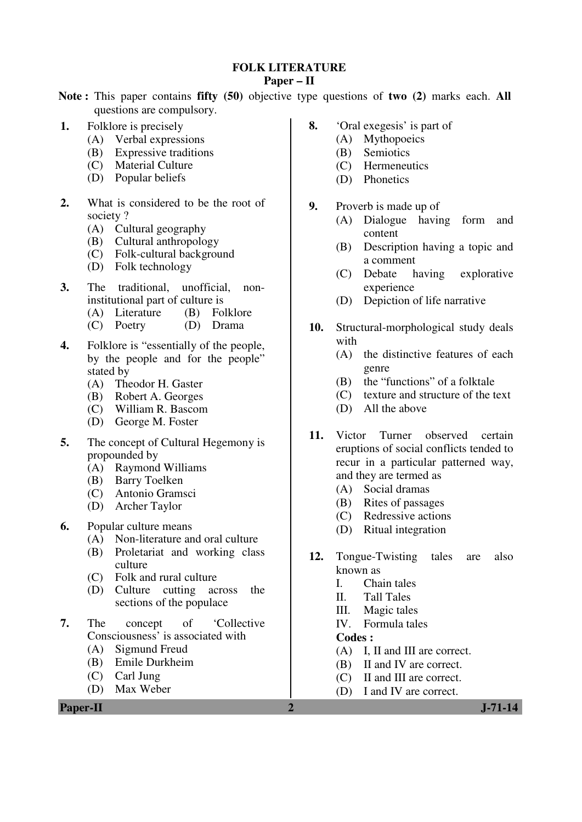#### **FOLK LITERATURE**

#### **Paper – II**

**Note :** This paper contains **fifty (50)** objective type questions of **two (2)** marks each. **All** questions are compulsory.

- **1.** Folklore is precisely
	- (A) Verbal expressions
	- (B) Expressive traditions
	- (C) Material Culture
	- (D) Popular beliefs
- **2.** What is considered to be the root of society ?
	- (A) Cultural geography
	- (B) Cultural anthropology
	- (C) Folk-cultural background
	- (D) Folk technology
- **3.** The traditional, unofficial, noninstitutional part of culture is
	- (A) Literature (B) Folklore
	- (C) Poetry (D) Drama
- **4.** Folklore is "essentially of the people, by the people and for the people" stated by
	- (A) Theodor H. Gaster
	- (B) Robert A. Georges
	- (C) William R. Bascom
	- (D) George M. Foster
- **5.** The concept of Cultural Hegemony is propounded by
	- (A) Raymond Williams
	- (B) Barry Toelken
	- (C) Antonio Gramsci
	- (D) Archer Taylor
- **6.** Popular culture means
	- (A) Non-literature and oral culture
	- (B) Proletariat and working class culture
	- (C) Folk and rural culture
	- (D) Culture cutting across the sections of the populace
- **7.** The concept of 'Collective Consciousness' is associated with
	- (A) Sigmund Freud
	- (B) Emile Durkheim
	- (C) Carl Jung
	- (D) Max Weber

**Paper-II 2 J-71-14** 

- **8.** 'Oral exegesis' is part of
	- (A) Mythopoeics
	- (B) Semiotics
	- (C) Hermeneutics
	- (D) Phonetics
- **9.** Proverb is made up of
	- (A) Dialogue having form and content
	- (B) Description having a topic and a comment
	- (C) Debate having explorative experience
	- (D) Depiction of life narrative
- **10.** Structural-morphological study deals with
	- (A) the distinctive features of each genre
	- (B) the "functions" of a folktale
	- (C) texture and structure of the text
	- (D) All the above
- **11.** Victor Turner observed certain eruptions of social conflicts tended to recur in a particular patterned way, and they are termed as
	- (A) Social dramas
	- (B) Rites of passages
	- (C) Redressive actions
	- (D) Ritual integration
- **12.** Tongue-Twisting tales are also known as
	- I. Chain tales
	- II. Tall Tales
	- III. Magic tales
	- IV. Formula tales

- (A) I, II and III are correct.
- (B) II and IV are correct.
- (C) II and III are correct.
- (D) I and IV are correct.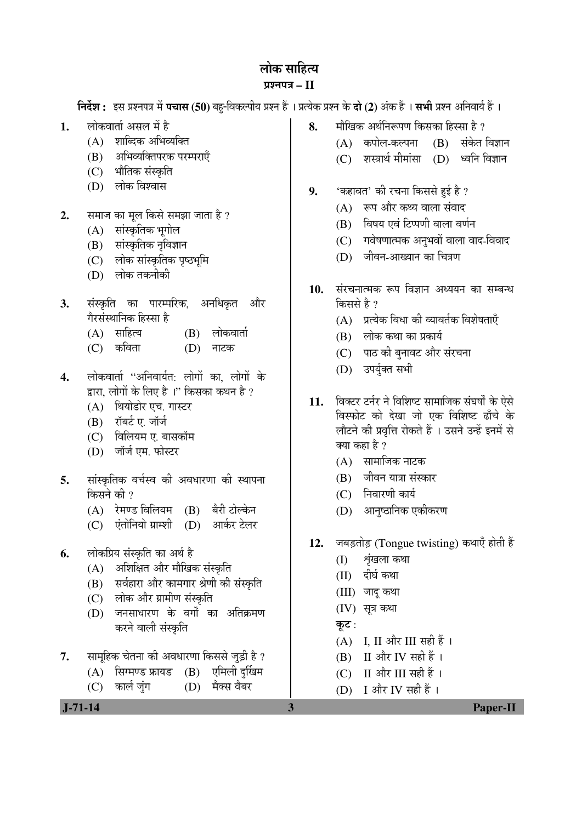# लोक साहित्य

## ¯ÖÏ¿®Ö¯Ö¡Ö **– II**

 $\hat{z}$ निर्देश : इस प्रश्नपत्र में पचास (50) बह-विकल्पीय प्रश्न हैं । प्रत्येक प्रश्न के दो (2) अंक हैं । सभी प्रश्न अनिवार्य हैं ।

- **1.** लोकवार्ता असल में है
	- $(A)$  शाब्दिक अभिव्यक्ति
	- (B) अभिव्यक्तिपरक परम्पराएँ
	- (C) भौतिक संस्कृति
	- (D) लोक विश्वास
- **2.** समाज का मूल किसे समझा जाता है ?
	- (A) सांस्कृतिक भूगोल
	- (B) सांस्कृतिक नृविज्ञान
	- (C) लोक सांस्कृतिक पृष्ठभूमि
	- $(D)$  लोक तकनीकी
- **3.** संस्कृति का पारम्परिक, अनधिकृत और गैरसंस्थानिक हिस्सा है
	- (A) साहित्य (B) लोकवार्ता
	- $(C)$  कविता  $(D)$  नाटक
- 4. लोकवार्ता "अनिवार्यत: लोगों का लोगों के द्वारा, लोगों के लिए है<sup>ं</sup>।'' किसका कथन है ?
	- (A) थियोडोर एच. गास्टर
	- $(B)$  रॉबर्ट ए. जॉर्ज
	- (C) विलियम ए. बासकॉम
	- (D) जॉर्ज एम. फोस्टर
- **5.** सांस्कृतिक वर्चस्व की अवधारणा की स्थापना किसने की  $\overline{v}$ 
	- (A) रेमण्ड विलियम (B) बैरी टोल्केन
	- (C) एंतोनियो ग्राम्शी (D) आर्कर टेलर
- **6.** लोकप्रिय संस्कृति का अर्थ है
	- (A) अशिक्षित और मौखिक संस्कृति
	- (B) सर्वहारा और कामगार श्रेणी की संस्कृति
	- (C) लोक और ग्रामीण संस्कृति
	- (D) जनसाधारण के वर्गों का अतिक्रमण करने वाली संस्कृति
- **7.** सामूहिक चेतना की अवधारणा किससे जुड़ी है ?
	- $(A)$  सिग्मण्ड फ्रायड  $(B)$  एमिली दुर्खिम
	- (C) कार्ल जुंग (D) मैक्स वैबर
- **J-71-14 3 Paper-II**
- 8. मौखिक अर्थनिरूपण किसका हिस्सा है ?
	- (A) कपोल-कल्पना (B) संकेत-विज्ञान
		- (C) शस्त्रार्थ मीमांसा (D) ध्वनि विज्ञान
- **9.** 'कहावत' की रचना किससे हुई है ?
	- $(A)$  रूप और कथ्य वाला संवाद
	- $(B)$  विषय एवं टिप्पणी वाला वर्णन
	- (C) गवेषणात्मक अनुभवों वाला वाद-विवाद
	- (D) जीवन-आख्यान का चित्रण
- 10. संरचनात्मक रूप विज्ञान अध्ययन का सम्बन्ध किससे है ?
	- $(A)$  प्रत्येक विधा की व्यावर्तक विशेषताएँ
	- $(B)$  लोक कथा का प्रकार्य
	- (C) पाठ की बुनावट और संरचना
	- (D) उपर्युक्त सभी
- 11. विक्टर टर्नर ने विशिष्ट सामाजिक संघर्षों के ऐसे विस्फोट को देखा जो एक विशिष्ट ढाँचे के लौटने की प्रवृत्ति रोकते हैं । उसने उन्हें इनमें से क्या कहा है ?
	- $(A)$  सामाजिक नाटक
	- (B) जीवन यात्रा संस्कार
	- (C) निवारणी कार्य
	- (D) आनुष्ठानिक एकीकरण
- **12.** जबड़तोड़ (Tongue twisting) कथाएँ होती हैं
	- (I) श्रृंखला कथा
	- (II) दीर्घ कथा
	- (III) जाद कथा
	- (IV) सूत्र कथा
	- कूट:
	- (A) I, II और III सही हैं।
	- $(B)$  II और IV सही हैं।
	- $(C)$  II और III सही हैं।
	- (D) I और IV सही हैं।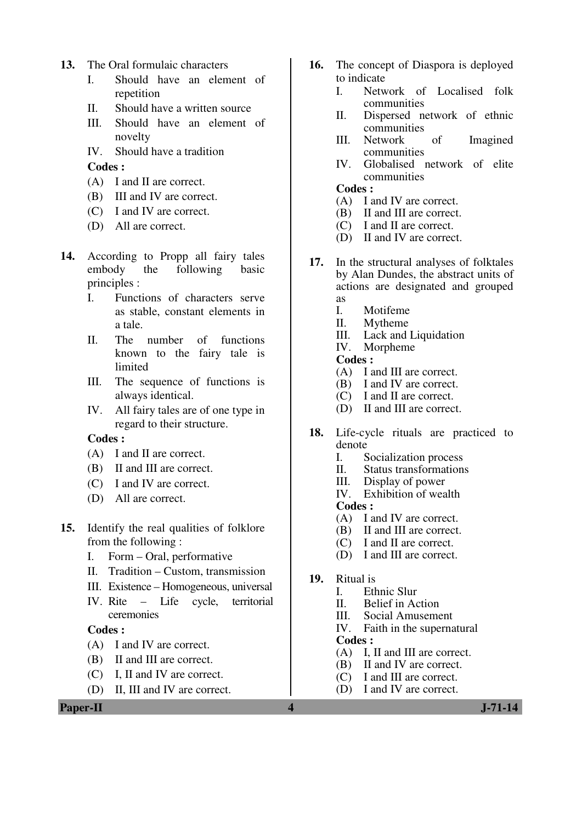- **13.** The Oral formulaic characters
	- I. Should have an element of repetition
	- II. Should have a written source
	- III. Should have an element of novelty
	- IV. Should have a tradition

- (A) I and II are correct.
- (B) III and IV are correct.
- (C) I and IV are correct.
- (D) All are correct.
- **14.** According to Propp all fairy tales embody the following basic principles :
	- I. Functions of characters serve as stable, constant elements in a tale.
	- II. The number of functions known to the fairy tale is limited
	- III. The sequence of functions is always identical.
	- IV. All fairy tales are of one type in regard to their structure.

#### **Codes :**

- (A) I and II are correct.
- (B) II and III are correct.
- (C) I and IV are correct.
- (D) All are correct.
- **15.** Identify the real qualities of folklore from the following :
	- I. Form Oral, performative
	- II. Tradition Custom, transmission
	- III. Existence Homogeneous, universal
	- IV. Rite Life cycle, territorial ceremonies

## **Codes :**

- (A) I and IV are correct.
- (B) II and III are correct.
- (C) I, II and IV are correct.
- (D) II, III and IV are correct.

**Paper-II 1.71-14** 

- **16.** The concept of Diaspora is deployed to indicate
	- I. Network of Localised folk communities
	- II. Dispersed network of ethnic communities
	- III. Network of Imagined communities
	- IV. Globalised network of elite communities

#### **Codes :**

- (A) I and IV are correct.
- (B) II and III are correct.
- (C) I and II are correct.
- (D) II and IV are correct.
- **17.** In the structural analyses of folktales by Alan Dundes, the abstract units of actions are designated and grouped as
	-
	- I. Motifeme<br>II. Mytheme **Mytheme**
	- III. Lack and Liquidation<br>IV. Morpheme
	- Morpheme

**Codes :** 

- (A) I and III are correct.
- (B) I and IV are correct.
- (C) I and II are correct.
- (D) II and III are correct.
- **18.** Life-cycle rituals are practiced to denote
	- I. Socialization process<br>II. Status transformation
	- II. Status transformations<br>III. Display of power
	- III. Display of power<br>IV. Exhibition of wea
	- Exhibition of wealth

- (A) I and IV are correct.<br>(B) II and III are correct.
- II and III are correct.
- (C) I and II are correct.
- (D) I and III are correct.
- **19.** Ritual is
	- I. Ethnic Slur<br>II. Belief in Ac
		- Belief in Action
		- III. Social Amusement
	- IV. Faith in the supernatural **Codes :**
	- (A) I, II and III are correct.
	- (B) II and IV are correct.
	- (C) I and III are correct.
	- (D) I and IV are correct.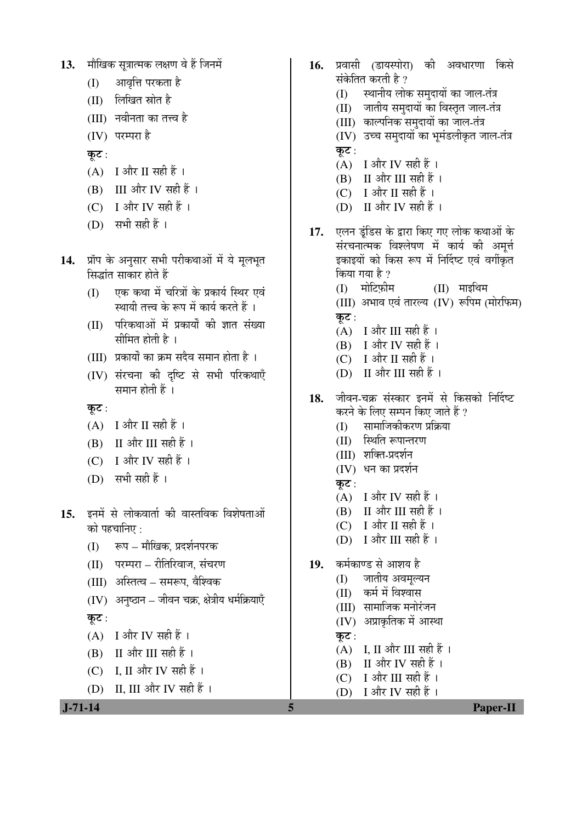```
13. मौखिक सत्रात्मक लक्षण वे हैं जिनमें
```
- आवृत्ति परकता है (I)
- (II) लिखित स्रोत है
- (III) नवीनता का तत्त्व है
- (IV) परम्परा है
- कूट :
- $(A)$  I और II सही हैं।
- $(B)$  III और IV सही हैं।
- (C) I और IV सही हैं।
- (D) सभी सही हैं ।
- प्रॉप के अनुसार सभी परीकथाओं में ये मूलभूत 14. सिद्धांत साकार होते हैं
	- एक कथा में चरित्रों के प्रकार्य स्थिर एवं  $(1)$ स्थायी तत्त्व के रूप में कार्य करते हैं ।
	- (II) परिकथाओं में प्रकार्यों की ज्ञात संख्या सीमित होती है ।
	- (III) प्रकार्यों का क्रम सदैव समान होता है)।
	- (IV) संरचना की दृष्टि से सभी परिकथाएँ समान होती हैं ।
	- कूट :
	- $(A)$  I और II सही हैं।
	- $(B)$  II और III सही हैं।
	- (C) I और IV सही हैं ।
	- $(D)$  सभी सही हैं।
- इनमें से लोकवार्ता की वास्तविक विशेषताओं  $15.$ को पहचानिए :
	- रूप मौखिक, प्रदर्शनपरक  $(1)$
	- (II) परम्परा रीतिरिवाज, संचरण
	- (III) अस्तित्व समरूप, वैश्विक
	- (IV) अनुष्ठान जीवन चक्र, क्षेत्रीय धर्मक्रियाएँ

## कुट:

- $(A)$  I और IV सही हैं।
- $(B)$  II और III सही हैं।
- (C) I. II और IV सही हैं।
- (D) II, III और IV सही हैं।

```
J - 71 - 14
```
- 16. प्रवासी (डायस्पोरा) की अवधारणा किसे संकेतित करती है ?
	- स्थानीय लोक समुदायों का जाल-तंत्र (I)
	- (II) जातीय समुदायों का विस्तृत जाल-तंत्र
	- (III) काल्पनिक समुदायों का जाल-तंत्र
	- (IV) उच्च समुदायों का भूमंडलीकृत जाल-तंत्र कट $:$
	- $(A)$  I और IV सही हैं।
	- $(B)$  II और III सही हैं।
	- (C) I और II सही हैं ।
	- (D) II और IV सही हैं ।
- 17. एलन इंडिस के द्वारा किए गए लोक कथाओं के संरचनात्मक विश्लेषण में कार्य की अमृर्त्त इकाइयों को किस रूप में निर्दिष्ट एवं वर्गीकृत किया गया है ?  $(II)$  माइथिम (D) मोटिफीम (III) अभाव एवं तारल्य (IV) रूपिम (मोरफिम) कट $:$  $(A)$  I और III सही हैं।
	- $(B)$  I और IV सही हैं ।
	- $(C)$  I और II सही हैं।
	- (D) II और III सही हैं ।
- जीवन-चक्र संस्कार इनमें से किसको निर्दिष्ट 18. करने के लिए सम्पन किए जाते हैं ?
	- सामाजिकीकरण प्रक्रिया  $(1)$
	- (II) स्थिति रूपान्तरण
	- (III) शक्ति-प्रदर्शन
	- (IV) धन का प्रदर्शन
	- कुट $:$
	- $(A)$  I और IV सही हैं।
	- $(B)$  II और III सही हैं।
	- $(C)$  I और II सही हैं ।
	- (D) I और III सही हैं ।
- कर्मकाण्ड से आशय है 19.
	- (I) जातीय अवमुल्यन
	- कर्म में विश्वास  $(II)$
	- (III) सामाजिक मनोरंजन
	- (IV) अप्राकृतिक में आस्था
	- कुट:

5

- $(A)$  I, II और III सही हैं।
- $(B)$  II और IV सही हैं।
- I और III सही हैं ।  $(C)$
- $(D)$ I और IV सही हैं ।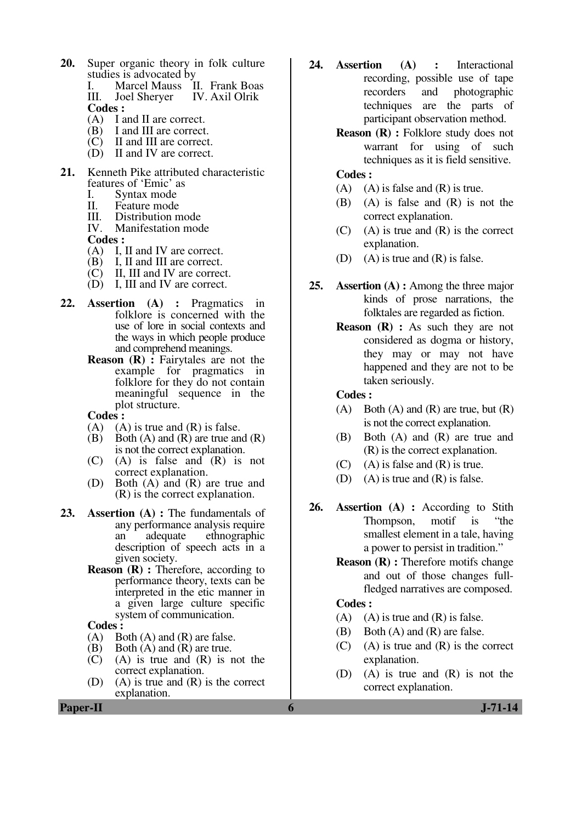- **20.** Super organic theory in folk culture studies is advocated by<br>I Marcel Mauss I
	- I. Marcel Mauss II. Frank Boas<br>III. Joel Sherver IV. Axil Olrik IV. Axil Olrik **Codes :**
	- (A) I and II are correct.
	- (B) I and III are correct.
	- (C) II and III are correct.
	- (D) II and IV are correct.
- **21.** Kenneth Pike attributed characteristic features of 'Emic' as
	- I. Syntax mode<br>II. Feature mode
	- II. Feature mode<br>III. Distribution n
	- III. Distribution mode<br>IV. Manifestation mod
	- Manifestation mode

- 
- (A) I, II and IV are correct.<br>(B) I, II and III are correct. I, II and III are correct.
- $(C)$  II, III and IV are correct.
- $(D)$  I, III and IV are correct.
- **22. Assertion (A) :** Pragmatics in folklore is concerned with the use of lore in social contexts and the ways in which people produce and comprehend meanings.
	- **Reason (R) :** Fairytales are not the example for pragmatics in folklore for they do not contain meaningful sequence in the plot structure.

#### **Codes :**

- $(A)$  (A) is true and  $(R)$  is false.
- (B) Both  $(A)$  and  $(R)$  are true and  $(R)$ is not the correct explanation.
- (C) (A) is false and (R) is not correct explanation.
- (D) Both (A) and (R) are true and (R) is the correct explanation.
- **23. Assertion (A) :** The fundamentals of any performance analysis require an adequate ethnographic description of speech acts in a given society.
	- **Reason** (**R**) : Therefore, according to performance theory, texts can be interpreted in the etic manner in a given large culture specific system of communication.

# **Codes** :<br>(A) Bo

- Both  $(A)$  and  $(R)$  are false.
- $(B)$  Both  $(A)$  and  $(R)$  are true.
- $(C)$  (A) is true and  $(R)$  is not the correct explanation.
- (D) (A) is true and (R) is the correct explanation.
- **24. Assertion (A) :** Interactional recording, possible use of tape recorders and photographic techniques are the parts of participant observation method.
	- **Reason (R) :** Folklore study does not warrant for using of such techniques as it is field sensitive.

#### **Codes :**

- $(A)$  (A) is false and  $(R)$  is true.
- (B) (A) is false and (R) is not the correct explanation.
- $(C)$  (A) is true and  $(R)$  is the correct explanation.
- (D) (A) is true and (R) is false.
- **25. Assertion (A) :** Among the three major kinds of prose narrations, the folktales are regarded as fiction.
	- **Reason (R) :** As such they are not considered as dogma or history, they may or may not have happened and they are not to be taken seriously.

#### **Codes :**

- $(A)$  Both  $(A)$  and  $(R)$  are true, but  $(R)$ is not the correct explanation.
- (B) Both (A) and (R) are true and (R) is the correct explanation.
- $(C)$  (A) is false and  $(R)$  is true.
- (D) (A) is true and (R) is false.
- **26. Assertion (A) :** According to Stith Thompson, motif is "the smallest element in a tale, having a power to persist in tradition."
	- **Reason (R) :** Therefore motifs change and out of those changes fullfledged narratives are composed.

- (A) (A) is true and  $(R)$  is false.
- (B) Both (A) and (R) are false.
- (C) (A) is true and (R) is the correct explanation.
- (D) (A) is true and (R) is not the correct explanation.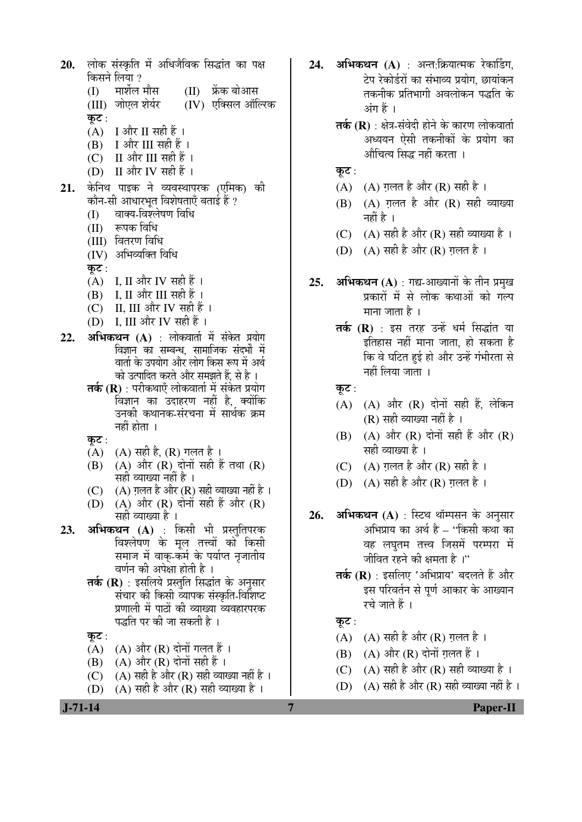लोक संस्कृति में अधिजैविक सिद्धांत का पक्ष 20. किसने लिया ? मार्शेल मौस (II) फ्रेंक बोआस  $(1)$ (III) जोएल शेर्यर  $(IV)$  एक्सिल ऑल्ख्कि कुट:  $(A)$  I और II सही हैं ।  $(B)$  I और III सही हैं।  $(C)$  II और III सही हैं। (D) II और IV सही हैं । केनिथ पाइक ने व्यवस्थापरक (एमिक) की  $21.$ कौन-सी आधारभुत विशेषताएँ बताई हैं ? वाक्य-विश्लेषण विधि (I) रूपक विधि  $(II)$ (III) वितरण विधि (IV) अभिव्यक्ति विधि कुट :  $(A)$  I, II और IV सही हैं।  $25.$  $(B)$  I. II और III सही हैं। - II, III और IV सही हैं ।  $(C)$ (D) I, III और IV सही हैं ।  $22.$ अभिकथन (A) : लोकवार्ता में संकेत प्रयोग विज्ञान का सम्बन्ध, सामाजिक संदर्भों में वार्ता के उपयोग और लोग किस रूप में अर्थ को उत्पादित करते और समझते हैं, से है । तर्क (R) : परीकथाएँ लोकवार्ता में संकेत प्रयोग विज्ञान का उदाहरण नहीं है, क्योंकि उनकी कथानक-संरचना में सार्थक क्रम नहीं होता । कुट : (A) (A) सही है, (R) गलत है । (A) और (R) दोनों सही हैं तथा (R) (B) सही व्याख्या नहीं है ।  $(A)$  ग़लत है और (R) सही व्याख्या नहीं है।  $(C)$ (A) और (R) दोनों सही हैं और (R) (D) सही व्याख्या है । 26. 23. अभिकथन (A) : किसी भी प्रस्तुतिपरक .<br>विश्लेषण के मूल तत्त्वों को किसी समाज में वाक-कर्म के पर्याप्त नृजातीय वर्णन की अपेक्षा होती है । तर्क (R) : इसलिये प्रस्तुति सिद्धांत के अनुसार संचार की किसी व्यापक संस्कृति-विशिष्ट प्रणाली में पाठों की व्याख्या व्यवहारपरक पद्धति पर की जा सकती है । कट $:$ (A) (A) और (R) दोनों गलत हैं।  $(B)$   $(A)$  और  $(R)$  दोनों सही हैं। (A) सही है और (R) सही व्याख्या नहीं है ।  $(C)$ 

(A) सही है और (R) सही व्याख्या है । (D)

 $J - 71 - 14$ 

24. अभिकथन (A) : अन्त:क्रियात्मक रेकार्डिंग. टेप रेकोर्डरों का संभाव्य प्रयोग. छायांकन तकनीक प्रतिभागी अवलोकन पद्धति के अंग हैं ।

- **तर्क (R)** : क्षेत्र-संवेदी होने के कारण लोकवार्ता अध्ययन ऐसी तकनीकों के प्रयोग का औचित्य सिद्ध नहीं करता ।
- कूट:
- (A) (A) ग़लत है और (R) सही है।
- $(B)$   $(A)$  ग़लत है और  $(R)$  सही व्याख्या नहीं है ।
- (C) (A) सही है और (R) सही व्याख्या है ।
- (D) (A) सही है और (R) ग़लत है।
- अभिकथन (A) : गद्य-आख्यानों के तीन प्रमुख प्रकारों में से लोक कथाओं को गल्प माना जाता है ।
	- तर्क (R) : इस तरह उन्हें धर्म सिद्धांत या इतिहास नहीं माना जाता. हो सकता है कि वे घटित हुई हो और उन्हें गंभीरता से नहीं लिया जाता ।
	- कूट :
	- $(A)$   $(A)$  और  $(R)$  दोनों सही हैं, लेकिन  $(R)$  सही व्याख्या नहीं है।
	- (B) (A) और (R) दोनों सही हैं और (R) सही व्याख्या है ।
	- (C) (A) ग़लत है और (R) सही है।
	- (D) (A) सही है और (R) ग़लत है ।
- अभिकथन (A) : स्टिथ थॉम्पसन के अनुसार अभिप्राय का अर्थ है – ''किसी कथा का वह लघुतम तत्त्व जिसमें परम्परा में जीवित रहने की क्षमता है।''
	- तर्क (R) : इसलिए 'अभिप्राय' बदलते हैं और इस परिवर्तन से पूर्ण आकार के आख्यान रचे जाते हैं ।
	- कुट:

 $\overline{7}$ 

- $(A)$   $(A)$  सही है और  $(R)$  गलत है।
- $(B)$   $(A)$  और  $(R)$  दोनों ग़लत हैं।
- (C) (A) सही है और (R) सही व्याख्या है ।
- (D) (A) सही है और (R) सही व्याख्या नहीं है ।

**Paper-II**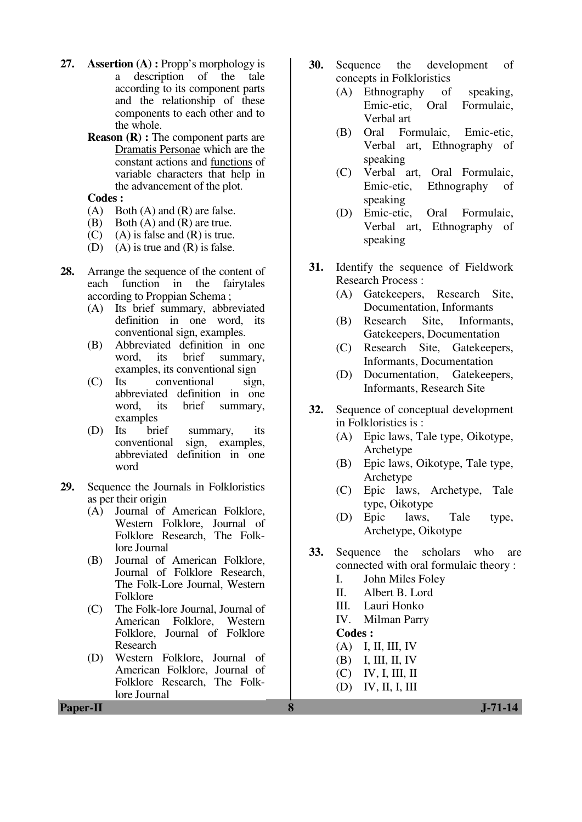- **27. Assertion (A) :** Propp's morphology is a description of the tale according to its component parts and the relationship of these components to each other and to the whole.
	- **Reason (R) :** The component parts are Dramatis Personae which are the constant actions and functions of variable characters that help in the advancement of the plot.

- (A) Both (A) and (R) are false.
- (B) Both (A) and (R) are true.
- $(C)$  (A) is false and  $(R)$  is true.
- (D) (A) is true and  $(R)$  is false.
- **28.** Arrange the sequence of the content of each function in the fairytales according to Proppian Schema ;
	- (A) Its brief summary, abbreviated definition in one word, its conventional sign, examples.
	- (B) Abbreviated definition in one<br>word, its brief summary, summary, examples, its conventional sign
	- (C) Its conventional sign, abbreviated definition in one word, its brief summary, examples
	- (D) Its brief summary, its conventional sign, examples, abbreviated definition in one word
- 29. Sequence the Journals in Folkloristics as per their origin
	- (A) Journal of American Folklore, Western Folklore, Journal of Folklore Research, The Folklore Journal
	- (B) Journal of American Folklore, Journal of Folklore Research, The Folk-Lore Journal, Western Folklore
	- (C) The Folk-lore Journal, Journal of American Folklore, Western Folklore, Journal of Folklore Research
	- (D) Western Folklore, Journal of American Folklore, Journal of Folklore Research, The Folklore Journal
- **30.** Sequence the development of concepts in Folkloristics
	- (A) Ethnography of speaking, Emic-etic, Oral Formulaic, Verbal art
	- (B) Oral Formulaic, Emic-etic, Verbal art, Ethnography of speaking
	- (C) Verbal art, Oral Formulaic, Emic-etic, Ethnography of speaking
	- (D) Emic-etic, Oral Formulaic, Verbal art, Ethnography of speaking
- **31.** Identify the sequence of Fieldwork Research Process :
	- (A) Gatekeepers, Research Site, Documentation, Informants
	- (B) Research Site, Informants, Gatekeepers, Documentation
	- (C) Research Site, Gatekeepers, Informants, Documentation
	- (D) Documentation, Gatekeepers, Informants, Research Site
- **32.** Sequence of conceptual development in Folkloristics is :
	- (A) Epic laws, Tale type, Oikotype, Archetype
	- (B) Epic laws, Oikotype, Tale type, Archetype
	- (C) Epic laws, Archetype, Tale type, Oikotype
	- (D) Epic laws, Tale type, Archetype, Oikotype
- **33.** Sequence the scholars who are connected with oral formulaic theory :
	- I. John Miles Foley
	- II. Albert B. Lord
	- III. Lauri Honko
	- IV. Milman Parry
	- **Codes :**
	- (A) I, II, III, IV
	- (B) I, III, II, IV
	- (C) IV, I, III, II
	- (D) IV, II, I, III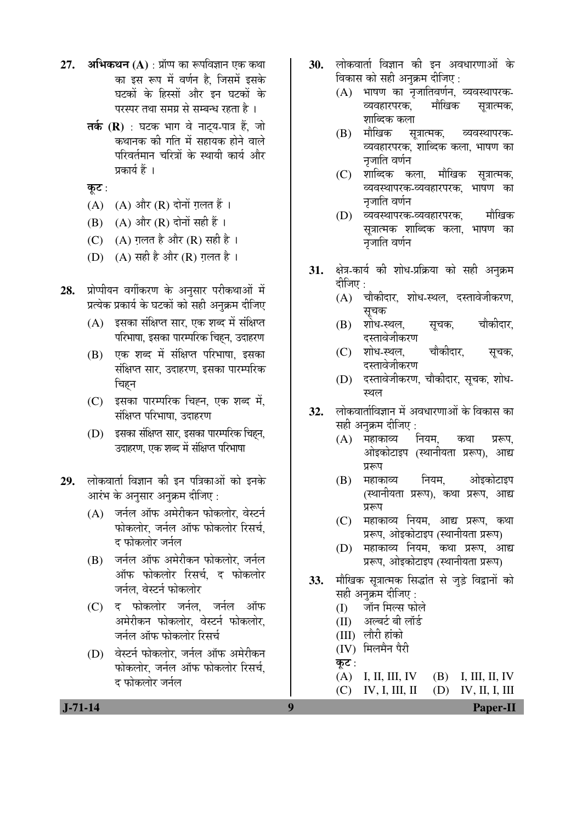- **27. अभिकथन (A)** : प्रॉप्प का रूपविज्ञान एक कथा का इस रूप में वर्णन है, जिसमें इसके घटकों के हिस्सों और इन घटकों के परस्पर तथा समग्र से सम्बन्ध रहता है ।
	- **तर्क (R)** : घटक भाग वे नाटय-पात्र हैं. जो कथानक की गति में सहायक होने वाले परिवर्तमान चरित्रों के स्थायी कार्य और प्रकार्य हैं ।

कूट:

- $(A)$   $(A)$  और  $(R)$  दोनों ग़लत हैं।
- $(B)$   $(A)$  और  $(R)$  दोनों सही हैं ।
- (C)  $(A)$  ग़लत है और (R) सही है।
- (D)  $(A)$  सही है और (R) ग़लत है।
- 2**8.** ∑प्रोप्पीयन वर्गीकरण के अनुसार परीकथाओं में प्रत्येक प्रकार्य के घटकों को सही अनुक्रम दीजिए
	- $(A)$  इसका संक्षिप्त सार, एक शब्द में संक्षिप्त परिभाषा, इसका पारम्परिक चिहन, उदाहरण
	- (B) एक शब्द में संक्षिप्त परिभाषा, इसका संक्षिप्त सार. उदाहरण. इसका पारम्परिक चिहन
	- (C) इसका पारम्परिक चिह्न, एक शब्द में, संक्षिप्त परिभाषा. उदाहरण
	- (D) इसका संक्षिप्त सार, इसका पारम्परिक चिहन, उदाहरण, एक शब्द में संक्षिप्त परिभाषा
- 29. लोकवार्ता विज्ञान की इन पत्रिकाओं को इनके आरंभ के अनुसार अनुक्रम दीजिए :
	- (A) जर्नल ऑफ अमेरीकन फोकलोर, वेस्टर्न फोकलोर, जर्नल ऑफ फोकलोर रिसर्च, द फोकलोर जर्नल
	- (B) जर्नल ऑफ अमेरीकन फोकलोर, जर्नल <u>ऑफ फोकलोर रिसर्च, द फोकलोर</u> जर्नल, वेस्टर्न फोकलोर
	- (C) द फोकलोर जर्नल, जर्नल ऑफ अमेरीकन फोकलोर. वेस्टर्न फोकलोर. जर्नल ऑफ फोकलोर रिसर्च
	- (D) वेस्टर्न फोकलोर, जर्नल ऑफ अमेरीकन फोकलोर, जर्नल ऑफ फोकलोर रिसर्च, द फोकलोर जर्नल
- 30. लोकवार्ता विज्ञान की इन अवधारणाओं के विकास को सही अनुक्रम दीजिए :
	- (A) भाषण का नृजातिवर्णन, व्यवस्थापरक-<br>व्यवहारपरक. मौखिक सत्रात्मक. व्यवहारपरक मौखिक सत्रात्मक शाब्दिक कला
	- (B) मौखिक सुत्रात्मक, व्यवस्थापरक-व्यवहारपरक. शाब्दिक कला. भाषण का नुजाति वर्णन
	- (C) शाब्दिक कला, मौखिक सुत्रात्मक, व्यवस्थापरक-व्यवहारपरक. भाषण का नुजाति वर्णन
	- (D) व्यवस्थापरक-व्यवहारपरक, मौखिक सुत्रात्मक शाब्दिक कला. भाषण का नजजाति वर्णन
- 31. क्षेत्र-कार्य की शोध-प्रक्रिया को सही अनुक्रम दीजिए $\,$  :
	- (A) चौकीदार, शोध-स्थल, दस्तावेजीकरण. सुचक
	- (B) शोध-स्थल, सचक, चौकीदार, दस्तावेजीकरण
	- (C) शोध-स्थल, चौकीदार, सचक, दस्तावेजीकरण
	- (D) दस्तावेजीकरण, चौकीदार, सुचक, शोध-स्थल
- **32.** लोकवार्ताविज्ञान में अवधारणाओं के विकास का सही अनक्रम दीजिए :
	- (A) महाकाव्य नियम, कथा प्ररूप, ओइकोटाइप (स्थानीयता प्ररूप), आद्य प्ररूप
	- (B) महाकाव्य नियम, ओइकोटाइप (स्थानीयता प्ररूप), कथा प्ररूप, आद्य प्ररूप
	- (C) महाकाव्य नियम, आद्य प्ररूप, कथा प्ररूप, ओइकोटाइप (स्थानीयता प्ररूप)
	- (D) महाकाव्य नियम, कथा प्ररूप, आद्य प्ररूप, ओइकोटाइप (स्थानीयता प्ररूप)
- 33. मौखिक सत्रात्मक सिद्धांत से जड़े विद्वानों को सही अनुक्रम दीजिए :
	- (I) जॉन मिल्स फोले
	- $(II)$  अल्बर्ट बी लॉर्ड
	- (III) लौरी हांको
	- (IV) मिलमैन पैरी
	- कुट $:$
	- (A) I, II, III, IV (B) I, III, II, IV
	- (C) IV, I, III, II (D) IV, II, I, III

 **J-71-14 9 Paper-II**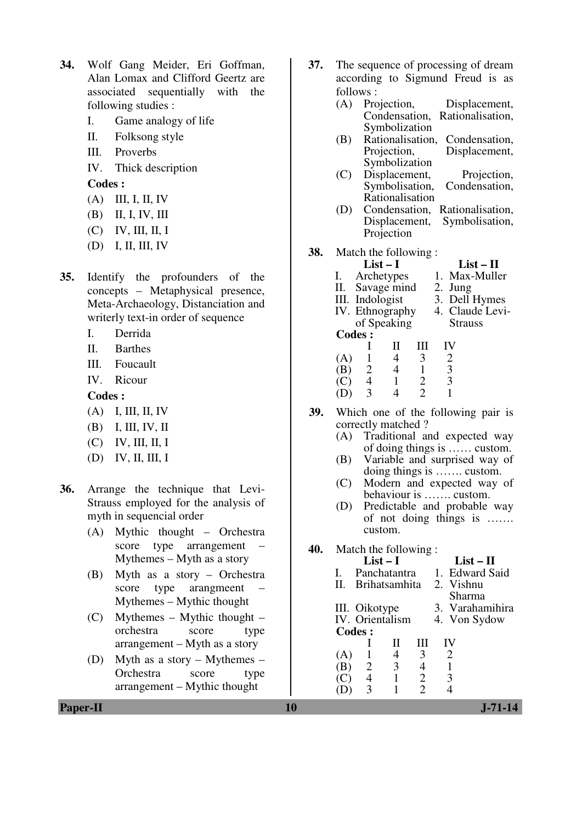- **34.** Wolf Gang Meider, Eri Goffman, Alan Lomax and Clifford Geertz are associated sequentially with the following studies :
	- I. Game analogy of life
	- II. Folksong style
	- III. Proverbs
	- IV. Thick description

- (A) III, I, II, IV
- (B) II, I, IV, III
- (C) IV, III, II, I
- (D) I, II, III, IV
- **35.** Identify the profounders of the concepts – Metaphysical presence, Meta-Archaeology, Distanciation and writerly text-in order of sequence
	- I. Derrida
	- II. Barthes
	- III. Foucault
	- IV. Ricour

**Codes :** 

- (A) I, III, II, IV
- (B) I, III, IV, II
- (C) IV, III, II, I
- (D) IV, II, III, I
- **36.** Arrange the technique that Levi-Strauss employed for the analysis of myth in sequencial order
	- (A) Mythic thought Orchestra score type arrangement Mythemes – Myth as a story
	- (B) Myth as a story Orchestra score type arangmeent Mythemes – Mythic thought
	- (C) Mythemes Mythic thought orchestra score type arrangement – Myth as a story
	- (D) Myth as a story Mythemes Orchestra score type arrangement – Mythic thought

**37.** The sequence of processing of dream according to Sigmund Freud is as

|     | follows:       |                         |                          |                         |                                                 |                |  |
|-----|----------------|-------------------------|--------------------------|-------------------------|-------------------------------------------------|----------------|--|
|     | (A)            |                         | Projection,              |                         | Displacement,                                   |                |  |
|     |                |                         |                          |                         | Condensation, Rationalisation,                  |                |  |
|     |                |                         | Symbolization            |                         |                                                 |                |  |
|     | (B)            |                         |                          |                         | Rationalisation, Condensation,                  |                |  |
|     |                |                         | Projection,              |                         |                                                 | Displacement,  |  |
|     |                |                         | Symbolization            |                         |                                                 |                |  |
|     | (C)            |                         | Displacement,            |                         |                                                 | Projection,    |  |
|     |                |                         |                          |                         | Symbolisation, Condensation,                    |                |  |
|     |                |                         | Rationalisation          |                         |                                                 |                |  |
|     | (D)            |                         |                          |                         | Condensation, Rationalisation,                  |                |  |
|     |                |                         |                          |                         | Displacement, Symbolisation,                    |                |  |
|     |                |                         | Projection               |                         |                                                 |                |  |
|     |                |                         |                          |                         |                                                 |                |  |
| 38. |                |                         | Match the following:     |                         |                                                 |                |  |
|     |                | $List-I$                |                          |                         |                                                 | $List - II$    |  |
|     | $\mathbf{I}$ . |                         | Archetypes               |                         | 1. Max-Muller                                   |                |  |
|     |                |                         |                          |                         | II. Savage mind 2. Jung                         |                |  |
|     |                | III. Indologist         |                          |                         | 3. Dell Hymes                                   |                |  |
|     |                |                         | of Speaking              |                         | IV. Ethnography 4. Claude Levi-                 | <b>Strauss</b> |  |
|     | <b>Codes:</b>  |                         |                          |                         |                                                 |                |  |
|     |                | $\mathbf I$             | П                        | Ш                       | IV                                              |                |  |
|     | $(A)$ 1        |                         | $\overline{4}$           | $\overline{\mathbf{3}}$ |                                                 |                |  |
|     |                |                         | $\overline{\phantom{0}}$ | $\overline{1}$          |                                                 |                |  |
|     |                |                         | $\overline{1}$           |                         |                                                 |                |  |
|     | (D)            | (B) 2<br>(C) 4<br>(D) 3 | $\overline{4}$           | $\frac{2}{2}$           | $\begin{array}{c} 2 \\ 3 \\ 3 \\ 1 \end{array}$ |                |  |
|     |                |                         |                          |                         |                                                 |                |  |
| 39. |                |                         |                          |                         | Which one of the following pair is              |                |  |
|     |                |                         | correctly matched?       |                         |                                                 |                |  |
|     |                |                         |                          |                         | (A) Traditional and expected way                |                |  |

- (A) Traditional and expected way of doing things is …… custom.
	- (B) Variable and surprised way of doing things is ……. custom.
	- (C) Modern and expected way of behaviour is ……. custom.
	- (D) Predictable and probable way of not doing things is ……. custom.

**40.** Match the following :

|     |                | $List-I$        |   | $List-II$       |
|-----|----------------|-----------------|---|-----------------|
|     |                | Panchatantra    |   | 1. Edward Said  |
| П.  |                | Brihatsamhita   |   | 2. Vishnu       |
|     |                |                 |   | Sharma          |
|     | III. Oikotype  |                 |   | 3. Varahamihira |
|     |                | IV. Orientalism |   | 4. Von Sydow    |
|     | <b>Codes:</b>  |                 |   |                 |
|     |                | Н               | Ш |                 |
| (A) |                | 4               | 3 | 2               |
| (B) | $\overline{2}$ | 3               |   |                 |
|     |                |                 | 2 |                 |
|     | 3              |                 |   |                 |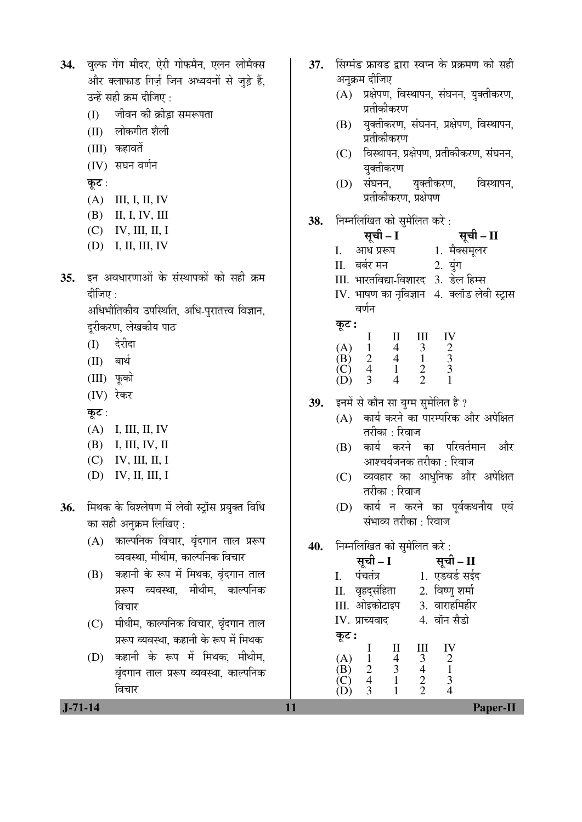| 34.           | वुल्फ गेंग मीदर, ऐरी गोफमैन, एलन लोमैक्स<br>और क्लाफाड गिर्ज़ जिन अध्ययनों से जुड़े हैं,<br>उन्हें सही क्रम दीजिए :<br>जीवन की क्रीड़ा समरूपता<br>(I)<br>(II) लोकगीत शैली<br>(III) कहावतें<br>(IV) संघन वर्णन<br>कूट :<br>(A)<br>III, I, II, IV<br>(B)<br>II, I, IV, III | 37. | सिंग्मंड फ्रायड द्वारा स्वप्न के प्रक्रमण को सही<br>अनुक्रम दीजिए<br>(A) प्रक्षेपण, विस्थापन, संघनन, युक्तीकरण,<br>प्रतीकीकरण<br>युक्तीकरण, संघनन, प्रक्षेपण, विस्थापन,<br>(B)<br>प्रतीकीकरण<br>विस्थापन, प्रक्षेपण, प्रतीकीकरण, संघनन,<br>(C)<br>युक्तीकरण<br>संघनन, युक्तीकरण,<br>विस्थापन,<br>(D)<br>प्रतीकीकरण, प्रक्षेपण                                                                                                                 |
|---------------|--------------------------------------------------------------------------------------------------------------------------------------------------------------------------------------------------------------------------------------------------------------------------|-----|-----------------------------------------------------------------------------------------------------------------------------------------------------------------------------------------------------------------------------------------------------------------------------------------------------------------------------------------------------------------------------------------------------------------------------------------------|
| 35.           | $(C)$ IV, III, II, I<br>(D) I, II, III, IV<br>इन अवधारणाओं के संस्थापकों को सही क्रम                                                                                                                                                                                     | 38. | निम्नलिखित को सुमेलित करे :<br>सूची – I<br>सूची – II<br>1. मैक्समूलर<br>आध प्ररूप<br>$\mathbf{I}$ .<br>बर्बर मन<br>2. युंग<br>П.<br>III. भारतविद्या-विशारद 3. डेल हिम्स                                                                                                                                                                                                                                                                       |
|               | दीजिए :<br>अधिभौतिकीय उपस्थिति, अधि-पुरातत्त्व विज्ञान,<br>दूरीकरण, लेखकीय पाठ<br>देरीदा<br>(I)<br>बार्थ<br>(II)<br>(III) फूको<br>(IV) रेकर<br>कूट :<br>(A) I, III, II, IV<br>(B)<br>I, III, IV, II<br>$(C)$ IV, III, II, I                                              | 39. | IV. भाषण का नृविज्ञान 4. क्लॉड लेवी स्ट्रास<br>वर्णन<br>कूट :<br>IV<br>$\frac{2}{3}$<br>$\begin{array}{cccc} \text{I} & \text{II} & \text{II} \\ \text{1} & 4 & 3 \\ \text{2} & 4 & 1 \\ \text{4} & 1 & 2 \\ \text{2} & 4 & 2 \end{array}$<br>(A)<br>(B)<br>(C)<br>(D)<br>इनमें से कौन सा युग्म सुमेलित है ?<br>कार्य करने का पारम्परिक और अपेक्षित<br>(A)<br>तरीका : रिवाज<br>कार्य करने का परिवर्तमान और<br>(B)<br>आश्चर्यजनक तरीका : रिवाज |
| 36.           | (D)<br>IV, II, III, I<br>मिथक के विश्लेषण में लेवी स्ट्रॉस प्रयुक्त विधि<br>का सही अनुक्रम लिखिए :<br>(A) काल्पनिक विचार, वृंदगान ताल प्ररूप                                                                                                                             | 40. | व्यवहार का आधुनिक और अपेक्षित<br>(C)<br>तरीका : रिवाज<br>कार्य न करने का पूर्वकथनीय एवं<br>(D)<br>संभाव्य तरीका : रिवाज<br>निम्नलिखित को सुमेलित करे:                                                                                                                                                                                                                                                                                         |
|               | व्यवस्था, मीथीम, काल्पनिक विचार<br>कहानी के रूप में मिथक, वृंदगान ताल<br>(B)<br>प्ररूप व्यवस्था, मीथीम, काल्पनिक<br>विचार<br>मीथीम, काल्पनिक विचार, वृंदगान ताल                                                                                                          |     | सूची – I सूची – II<br>1. एडवर्ड सईद<br>पंचतंत्र<br>I.<br>2. विष्णु शर्मा<br>II. वृहद्संहिता<br>3. वाराहमिहीर<br>III. ओइकोटाइप<br>4. वॉन सैडो<br>IV. प्राच्यवाद                                                                                                                                                                                                                                                                                |
|               | (C)<br>प्ररूप व्यवस्था, कहानी के रूप में मिथक<br>कहानी के रूप में मिथक, मीथीम,<br>(D)<br>वृंदगान ताल प्ररूप व्यवस्था, काल्पनिक<br>विचार                                                                                                                                  |     | कूट :<br>$\mathop{\rm II}\nolimits$<br>Ш<br>IV<br>$\bf{l}$<br>$\begin{array}{c} 2 \\ 1 \\ 3 \end{array}$<br>$\begin{array}{c} 4 \\ 3 \\ 1 \end{array}$<br>(A)<br>$\begin{array}{c} 3 \\ 4 \\ 2 \\ 2 \end{array}$<br>$\mathbf{1}$<br>$\overrightarrow{B}$<br>$\overrightarrow{C}$<br>$\overrightarrow{D}$<br>$\begin{array}{c} 2 \\ 4 \\ 3 \end{array}$<br>$\overline{4}$                                                                      |
| $J - 71 - 14$ |                                                                                                                                                                                                                                                                          | 11  | Paper-II                                                                                                                                                                                                                                                                                                                                                                                                                                      |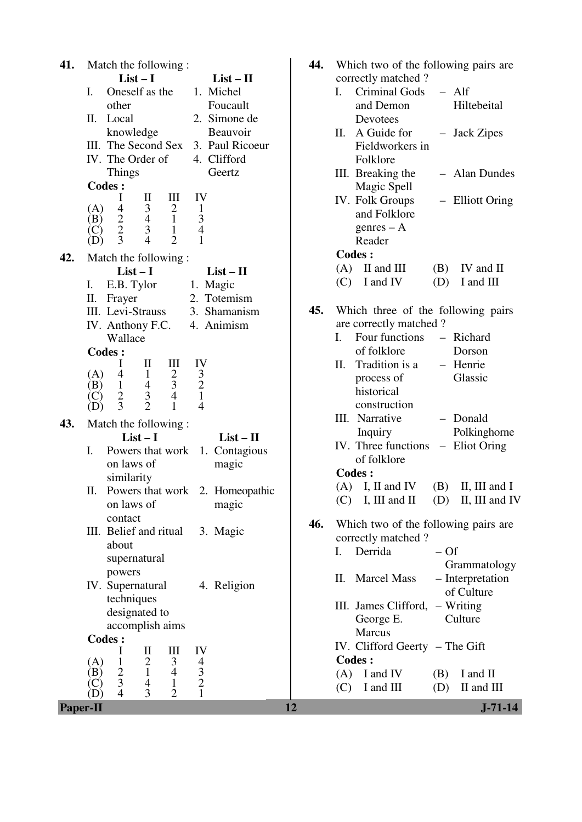| $List-I$<br>correctly matched?<br>$List - II$<br>Oneself as the<br>1. Michel<br><b>Criminal Gods</b><br>$-$ Alf<br>I.<br>I.<br>other<br>Foucault<br>and Demon<br>Hiltebeital<br>2. Simone de<br>П.<br>Local<br>Devotees<br>knowledge<br>Beauvoir<br>A Guide for<br>П.<br>- Jack Zipes<br>III. The Second Sex 3. Paul Ricoeur<br>Fieldworkers in<br>IV. The Order of<br>4. Clifford<br>Folklore<br><b>Things</b><br>Geertz<br>III. Breaking the<br>- Alan Dundes<br><b>Codes:</b><br>Magic Spell<br>$\mathbf{I}$<br>Ш<br>IV<br>I<br>IV. Folk Groups<br>- Elliott Oring<br>$\begin{array}{c} 3 \\ 4 \\ 3 \end{array}$<br>$\overline{4}$<br>$\frac{2}{1}$<br>$\mathbf{1}$<br>(A)<br>and Folklore<br>$\frac{2}{2}$<br>$\frac{3}{4}$<br>(B)<br>$g$ enres – A<br>$\mathbf{1}$<br>(C)<br>$\mathbf{1}$<br>3<br>$\overline{4}$<br>$\overline{2}$<br>Reader<br>(D)<br><b>Codes:</b><br>42.<br>Match the following:<br>$(A)$ II and III<br>IV and II<br>(B)<br>$List-I$<br>$List - II$<br>I and IV<br>I and III<br>(C)<br>(D)<br>I.<br>E.B. Tylor<br>1. Magic<br>2. Totemism<br>Π.<br>Frayer<br>45.<br>Which three of the following pairs<br>III. Levi-Strauss<br>3. Shamanism<br>are correctly matched?<br>IV. Anthony F.C.<br>4. Animism<br>Four functions<br>I.<br>- Richard<br>Wallace<br>of folklore<br>Dorson<br><b>Codes:</b><br>Ш<br>IV<br>$\mathop{\rm II}\nolimits$<br>Tradition is a<br>I<br>- Henrie<br>Π.<br>$\frac{3}{2}$<br>$\mathbf{1}$<br>$rac{2}{3}$<br>$\overline{4}$<br>(A)<br>Glassic<br>process of<br>$\mathbf{1}$<br>$\overline{4}$<br>(B)<br>historical<br>$\mathfrak{Z}$<br>$\sqrt{2}$<br>$\overline{4}$<br>(C)<br>$\overline{2}$<br>3<br>$\overline{4}$<br>construction<br>$\mathbf{1}$<br>(D)<br>III. Narrative<br>- Donald<br>43.<br>Match the following:<br>Polkinghorne<br>Inquiry<br>$List-I$<br>$List - II$<br>IV. Three functions<br>- Eliot Oring<br>Powers that work<br>1. Contagious<br>I.<br>of folklore<br>on laws of<br>magic<br><b>Codes:</b><br>similarity<br>$(A)$ I, II and IV<br>(B)<br>II, III and I<br>П.<br>Powers that work 2. Homeopathic<br>$(C)$ I, III and II<br>$(D)$ II, III and IV<br>on laws of<br>magic<br>contact<br>46.<br>Which two of the following pairs are<br>III. Belief and ritual<br>3. Magic<br>correctly matched?<br>about<br>Derrida<br>$-Of$<br>I.<br>supernatural<br>Grammatology<br>powers<br>- Interpretation<br><b>Marcel Mass</b><br>П.<br>IV. Supernatural<br>4. Religion<br>of Culture<br>techniques<br>$-$ Writing<br>III. James Clifford,<br>designated to<br>Culture<br>George E.<br>accomplish aims<br>Marcus<br><b>Codes:</b><br>IV. Clifford Geerty - The Gift<br>$\mathbf{I}$<br>$\mathop{\rm III}$<br>IV<br>I<br>Codes :<br>$\mathfrak{2}$<br>3<br>$\frac{4}{3}$<br>$\mathbf{1}$<br>(A)<br>$rac{2}{3}$<br>$\mathbf{1}$<br>$\overline{4}$<br>(B)<br>I and IV<br>(A)<br>I and II<br>(B)<br>4<br>$\mathbf{1}$<br>(C)<br>I and III<br>II and III<br>(C)<br>(D)<br>$\mathbf{1}$<br>$\overline{4}$<br>3<br>$\overline{2}$<br>(D)<br>$J - 71 - 14$<br><b>Paper-II</b><br>12 | 41. | Match the following: | 44. | Which two of the following pairs are |
|-------------------------------------------------------------------------------------------------------------------------------------------------------------------------------------------------------------------------------------------------------------------------------------------------------------------------------------------------------------------------------------------------------------------------------------------------------------------------------------------------------------------------------------------------------------------------------------------------------------------------------------------------------------------------------------------------------------------------------------------------------------------------------------------------------------------------------------------------------------------------------------------------------------------------------------------------------------------------------------------------------------------------------------------------------------------------------------------------------------------------------------------------------------------------------------------------------------------------------------------------------------------------------------------------------------------------------------------------------------------------------------------------------------------------------------------------------------------------------------------------------------------------------------------------------------------------------------------------------------------------------------------------------------------------------------------------------------------------------------------------------------------------------------------------------------------------------------------------------------------------------------------------------------------------------------------------------------------------------------------------------------------------------------------------------------------------------------------------------------------------------------------------------------------------------------------------------------------------------------------------------------------------------------------------------------------------------------------------------------------------------------------------------------------------------------------------------------------------------------------------------------------------------------------------------------------------------------------------------------------------------------------------------------------------------------------------------------------------------------------------------------------------------------------------------------------------------------------------------------------------------------------------------------------------------------------------------------------------------------------------------------------------------------------------|-----|----------------------|-----|--------------------------------------|
|                                                                                                                                                                                                                                                                                                                                                                                                                                                                                                                                                                                                                                                                                                                                                                                                                                                                                                                                                                                                                                                                                                                                                                                                                                                                                                                                                                                                                                                                                                                                                                                                                                                                                                                                                                                                                                                                                                                                                                                                                                                                                                                                                                                                                                                                                                                                                                                                                                                                                                                                                                                                                                                                                                                                                                                                                                                                                                                                                                                                                                                 |     |                      |     |                                      |
|                                                                                                                                                                                                                                                                                                                                                                                                                                                                                                                                                                                                                                                                                                                                                                                                                                                                                                                                                                                                                                                                                                                                                                                                                                                                                                                                                                                                                                                                                                                                                                                                                                                                                                                                                                                                                                                                                                                                                                                                                                                                                                                                                                                                                                                                                                                                                                                                                                                                                                                                                                                                                                                                                                                                                                                                                                                                                                                                                                                                                                                 |     |                      |     |                                      |
|                                                                                                                                                                                                                                                                                                                                                                                                                                                                                                                                                                                                                                                                                                                                                                                                                                                                                                                                                                                                                                                                                                                                                                                                                                                                                                                                                                                                                                                                                                                                                                                                                                                                                                                                                                                                                                                                                                                                                                                                                                                                                                                                                                                                                                                                                                                                                                                                                                                                                                                                                                                                                                                                                                                                                                                                                                                                                                                                                                                                                                                 |     |                      |     |                                      |
|                                                                                                                                                                                                                                                                                                                                                                                                                                                                                                                                                                                                                                                                                                                                                                                                                                                                                                                                                                                                                                                                                                                                                                                                                                                                                                                                                                                                                                                                                                                                                                                                                                                                                                                                                                                                                                                                                                                                                                                                                                                                                                                                                                                                                                                                                                                                                                                                                                                                                                                                                                                                                                                                                                                                                                                                                                                                                                                                                                                                                                                 |     |                      |     |                                      |
|                                                                                                                                                                                                                                                                                                                                                                                                                                                                                                                                                                                                                                                                                                                                                                                                                                                                                                                                                                                                                                                                                                                                                                                                                                                                                                                                                                                                                                                                                                                                                                                                                                                                                                                                                                                                                                                                                                                                                                                                                                                                                                                                                                                                                                                                                                                                                                                                                                                                                                                                                                                                                                                                                                                                                                                                                                                                                                                                                                                                                                                 |     |                      |     |                                      |
|                                                                                                                                                                                                                                                                                                                                                                                                                                                                                                                                                                                                                                                                                                                                                                                                                                                                                                                                                                                                                                                                                                                                                                                                                                                                                                                                                                                                                                                                                                                                                                                                                                                                                                                                                                                                                                                                                                                                                                                                                                                                                                                                                                                                                                                                                                                                                                                                                                                                                                                                                                                                                                                                                                                                                                                                                                                                                                                                                                                                                                                 |     |                      |     |                                      |
|                                                                                                                                                                                                                                                                                                                                                                                                                                                                                                                                                                                                                                                                                                                                                                                                                                                                                                                                                                                                                                                                                                                                                                                                                                                                                                                                                                                                                                                                                                                                                                                                                                                                                                                                                                                                                                                                                                                                                                                                                                                                                                                                                                                                                                                                                                                                                                                                                                                                                                                                                                                                                                                                                                                                                                                                                                                                                                                                                                                                                                                 |     |                      |     |                                      |
|                                                                                                                                                                                                                                                                                                                                                                                                                                                                                                                                                                                                                                                                                                                                                                                                                                                                                                                                                                                                                                                                                                                                                                                                                                                                                                                                                                                                                                                                                                                                                                                                                                                                                                                                                                                                                                                                                                                                                                                                                                                                                                                                                                                                                                                                                                                                                                                                                                                                                                                                                                                                                                                                                                                                                                                                                                                                                                                                                                                                                                                 |     |                      |     |                                      |
|                                                                                                                                                                                                                                                                                                                                                                                                                                                                                                                                                                                                                                                                                                                                                                                                                                                                                                                                                                                                                                                                                                                                                                                                                                                                                                                                                                                                                                                                                                                                                                                                                                                                                                                                                                                                                                                                                                                                                                                                                                                                                                                                                                                                                                                                                                                                                                                                                                                                                                                                                                                                                                                                                                                                                                                                                                                                                                                                                                                                                                                 |     |                      |     |                                      |
|                                                                                                                                                                                                                                                                                                                                                                                                                                                                                                                                                                                                                                                                                                                                                                                                                                                                                                                                                                                                                                                                                                                                                                                                                                                                                                                                                                                                                                                                                                                                                                                                                                                                                                                                                                                                                                                                                                                                                                                                                                                                                                                                                                                                                                                                                                                                                                                                                                                                                                                                                                                                                                                                                                                                                                                                                                                                                                                                                                                                                                                 |     |                      |     |                                      |
|                                                                                                                                                                                                                                                                                                                                                                                                                                                                                                                                                                                                                                                                                                                                                                                                                                                                                                                                                                                                                                                                                                                                                                                                                                                                                                                                                                                                                                                                                                                                                                                                                                                                                                                                                                                                                                                                                                                                                                                                                                                                                                                                                                                                                                                                                                                                                                                                                                                                                                                                                                                                                                                                                                                                                                                                                                                                                                                                                                                                                                                 |     |                      |     |                                      |
|                                                                                                                                                                                                                                                                                                                                                                                                                                                                                                                                                                                                                                                                                                                                                                                                                                                                                                                                                                                                                                                                                                                                                                                                                                                                                                                                                                                                                                                                                                                                                                                                                                                                                                                                                                                                                                                                                                                                                                                                                                                                                                                                                                                                                                                                                                                                                                                                                                                                                                                                                                                                                                                                                                                                                                                                                                                                                                                                                                                                                                                 |     |                      |     |                                      |
|                                                                                                                                                                                                                                                                                                                                                                                                                                                                                                                                                                                                                                                                                                                                                                                                                                                                                                                                                                                                                                                                                                                                                                                                                                                                                                                                                                                                                                                                                                                                                                                                                                                                                                                                                                                                                                                                                                                                                                                                                                                                                                                                                                                                                                                                                                                                                                                                                                                                                                                                                                                                                                                                                                                                                                                                                                                                                                                                                                                                                                                 |     |                      |     |                                      |
|                                                                                                                                                                                                                                                                                                                                                                                                                                                                                                                                                                                                                                                                                                                                                                                                                                                                                                                                                                                                                                                                                                                                                                                                                                                                                                                                                                                                                                                                                                                                                                                                                                                                                                                                                                                                                                                                                                                                                                                                                                                                                                                                                                                                                                                                                                                                                                                                                                                                                                                                                                                                                                                                                                                                                                                                                                                                                                                                                                                                                                                 |     |                      |     |                                      |
|                                                                                                                                                                                                                                                                                                                                                                                                                                                                                                                                                                                                                                                                                                                                                                                                                                                                                                                                                                                                                                                                                                                                                                                                                                                                                                                                                                                                                                                                                                                                                                                                                                                                                                                                                                                                                                                                                                                                                                                                                                                                                                                                                                                                                                                                                                                                                                                                                                                                                                                                                                                                                                                                                                                                                                                                                                                                                                                                                                                                                                                 |     |                      |     |                                      |
|                                                                                                                                                                                                                                                                                                                                                                                                                                                                                                                                                                                                                                                                                                                                                                                                                                                                                                                                                                                                                                                                                                                                                                                                                                                                                                                                                                                                                                                                                                                                                                                                                                                                                                                                                                                                                                                                                                                                                                                                                                                                                                                                                                                                                                                                                                                                                                                                                                                                                                                                                                                                                                                                                                                                                                                                                                                                                                                                                                                                                                                 |     |                      |     |                                      |
|                                                                                                                                                                                                                                                                                                                                                                                                                                                                                                                                                                                                                                                                                                                                                                                                                                                                                                                                                                                                                                                                                                                                                                                                                                                                                                                                                                                                                                                                                                                                                                                                                                                                                                                                                                                                                                                                                                                                                                                                                                                                                                                                                                                                                                                                                                                                                                                                                                                                                                                                                                                                                                                                                                                                                                                                                                                                                                                                                                                                                                                 |     |                      |     |                                      |
|                                                                                                                                                                                                                                                                                                                                                                                                                                                                                                                                                                                                                                                                                                                                                                                                                                                                                                                                                                                                                                                                                                                                                                                                                                                                                                                                                                                                                                                                                                                                                                                                                                                                                                                                                                                                                                                                                                                                                                                                                                                                                                                                                                                                                                                                                                                                                                                                                                                                                                                                                                                                                                                                                                                                                                                                                                                                                                                                                                                                                                                 |     |                      |     |                                      |
|                                                                                                                                                                                                                                                                                                                                                                                                                                                                                                                                                                                                                                                                                                                                                                                                                                                                                                                                                                                                                                                                                                                                                                                                                                                                                                                                                                                                                                                                                                                                                                                                                                                                                                                                                                                                                                                                                                                                                                                                                                                                                                                                                                                                                                                                                                                                                                                                                                                                                                                                                                                                                                                                                                                                                                                                                                                                                                                                                                                                                                                 |     |                      |     |                                      |
|                                                                                                                                                                                                                                                                                                                                                                                                                                                                                                                                                                                                                                                                                                                                                                                                                                                                                                                                                                                                                                                                                                                                                                                                                                                                                                                                                                                                                                                                                                                                                                                                                                                                                                                                                                                                                                                                                                                                                                                                                                                                                                                                                                                                                                                                                                                                                                                                                                                                                                                                                                                                                                                                                                                                                                                                                                                                                                                                                                                                                                                 |     |                      |     |                                      |
|                                                                                                                                                                                                                                                                                                                                                                                                                                                                                                                                                                                                                                                                                                                                                                                                                                                                                                                                                                                                                                                                                                                                                                                                                                                                                                                                                                                                                                                                                                                                                                                                                                                                                                                                                                                                                                                                                                                                                                                                                                                                                                                                                                                                                                                                                                                                                                                                                                                                                                                                                                                                                                                                                                                                                                                                                                                                                                                                                                                                                                                 |     |                      |     |                                      |
|                                                                                                                                                                                                                                                                                                                                                                                                                                                                                                                                                                                                                                                                                                                                                                                                                                                                                                                                                                                                                                                                                                                                                                                                                                                                                                                                                                                                                                                                                                                                                                                                                                                                                                                                                                                                                                                                                                                                                                                                                                                                                                                                                                                                                                                                                                                                                                                                                                                                                                                                                                                                                                                                                                                                                                                                                                                                                                                                                                                                                                                 |     |                      |     |                                      |
|                                                                                                                                                                                                                                                                                                                                                                                                                                                                                                                                                                                                                                                                                                                                                                                                                                                                                                                                                                                                                                                                                                                                                                                                                                                                                                                                                                                                                                                                                                                                                                                                                                                                                                                                                                                                                                                                                                                                                                                                                                                                                                                                                                                                                                                                                                                                                                                                                                                                                                                                                                                                                                                                                                                                                                                                                                                                                                                                                                                                                                                 |     |                      |     |                                      |
|                                                                                                                                                                                                                                                                                                                                                                                                                                                                                                                                                                                                                                                                                                                                                                                                                                                                                                                                                                                                                                                                                                                                                                                                                                                                                                                                                                                                                                                                                                                                                                                                                                                                                                                                                                                                                                                                                                                                                                                                                                                                                                                                                                                                                                                                                                                                                                                                                                                                                                                                                                                                                                                                                                                                                                                                                                                                                                                                                                                                                                                 |     |                      |     |                                      |
|                                                                                                                                                                                                                                                                                                                                                                                                                                                                                                                                                                                                                                                                                                                                                                                                                                                                                                                                                                                                                                                                                                                                                                                                                                                                                                                                                                                                                                                                                                                                                                                                                                                                                                                                                                                                                                                                                                                                                                                                                                                                                                                                                                                                                                                                                                                                                                                                                                                                                                                                                                                                                                                                                                                                                                                                                                                                                                                                                                                                                                                 |     |                      |     |                                      |
|                                                                                                                                                                                                                                                                                                                                                                                                                                                                                                                                                                                                                                                                                                                                                                                                                                                                                                                                                                                                                                                                                                                                                                                                                                                                                                                                                                                                                                                                                                                                                                                                                                                                                                                                                                                                                                                                                                                                                                                                                                                                                                                                                                                                                                                                                                                                                                                                                                                                                                                                                                                                                                                                                                                                                                                                                                                                                                                                                                                                                                                 |     |                      |     |                                      |
|                                                                                                                                                                                                                                                                                                                                                                                                                                                                                                                                                                                                                                                                                                                                                                                                                                                                                                                                                                                                                                                                                                                                                                                                                                                                                                                                                                                                                                                                                                                                                                                                                                                                                                                                                                                                                                                                                                                                                                                                                                                                                                                                                                                                                                                                                                                                                                                                                                                                                                                                                                                                                                                                                                                                                                                                                                                                                                                                                                                                                                                 |     |                      |     |                                      |
|                                                                                                                                                                                                                                                                                                                                                                                                                                                                                                                                                                                                                                                                                                                                                                                                                                                                                                                                                                                                                                                                                                                                                                                                                                                                                                                                                                                                                                                                                                                                                                                                                                                                                                                                                                                                                                                                                                                                                                                                                                                                                                                                                                                                                                                                                                                                                                                                                                                                                                                                                                                                                                                                                                                                                                                                                                                                                                                                                                                                                                                 |     |                      |     |                                      |
|                                                                                                                                                                                                                                                                                                                                                                                                                                                                                                                                                                                                                                                                                                                                                                                                                                                                                                                                                                                                                                                                                                                                                                                                                                                                                                                                                                                                                                                                                                                                                                                                                                                                                                                                                                                                                                                                                                                                                                                                                                                                                                                                                                                                                                                                                                                                                                                                                                                                                                                                                                                                                                                                                                                                                                                                                                                                                                                                                                                                                                                 |     |                      |     |                                      |
|                                                                                                                                                                                                                                                                                                                                                                                                                                                                                                                                                                                                                                                                                                                                                                                                                                                                                                                                                                                                                                                                                                                                                                                                                                                                                                                                                                                                                                                                                                                                                                                                                                                                                                                                                                                                                                                                                                                                                                                                                                                                                                                                                                                                                                                                                                                                                                                                                                                                                                                                                                                                                                                                                                                                                                                                                                                                                                                                                                                                                                                 |     |                      |     |                                      |
|                                                                                                                                                                                                                                                                                                                                                                                                                                                                                                                                                                                                                                                                                                                                                                                                                                                                                                                                                                                                                                                                                                                                                                                                                                                                                                                                                                                                                                                                                                                                                                                                                                                                                                                                                                                                                                                                                                                                                                                                                                                                                                                                                                                                                                                                                                                                                                                                                                                                                                                                                                                                                                                                                                                                                                                                                                                                                                                                                                                                                                                 |     |                      |     |                                      |
|                                                                                                                                                                                                                                                                                                                                                                                                                                                                                                                                                                                                                                                                                                                                                                                                                                                                                                                                                                                                                                                                                                                                                                                                                                                                                                                                                                                                                                                                                                                                                                                                                                                                                                                                                                                                                                                                                                                                                                                                                                                                                                                                                                                                                                                                                                                                                                                                                                                                                                                                                                                                                                                                                                                                                                                                                                                                                                                                                                                                                                                 |     |                      |     |                                      |
|                                                                                                                                                                                                                                                                                                                                                                                                                                                                                                                                                                                                                                                                                                                                                                                                                                                                                                                                                                                                                                                                                                                                                                                                                                                                                                                                                                                                                                                                                                                                                                                                                                                                                                                                                                                                                                                                                                                                                                                                                                                                                                                                                                                                                                                                                                                                                                                                                                                                                                                                                                                                                                                                                                                                                                                                                                                                                                                                                                                                                                                 |     |                      |     |                                      |
|                                                                                                                                                                                                                                                                                                                                                                                                                                                                                                                                                                                                                                                                                                                                                                                                                                                                                                                                                                                                                                                                                                                                                                                                                                                                                                                                                                                                                                                                                                                                                                                                                                                                                                                                                                                                                                                                                                                                                                                                                                                                                                                                                                                                                                                                                                                                                                                                                                                                                                                                                                                                                                                                                                                                                                                                                                                                                                                                                                                                                                                 |     |                      |     |                                      |
|                                                                                                                                                                                                                                                                                                                                                                                                                                                                                                                                                                                                                                                                                                                                                                                                                                                                                                                                                                                                                                                                                                                                                                                                                                                                                                                                                                                                                                                                                                                                                                                                                                                                                                                                                                                                                                                                                                                                                                                                                                                                                                                                                                                                                                                                                                                                                                                                                                                                                                                                                                                                                                                                                                                                                                                                                                                                                                                                                                                                                                                 |     |                      |     |                                      |
|                                                                                                                                                                                                                                                                                                                                                                                                                                                                                                                                                                                                                                                                                                                                                                                                                                                                                                                                                                                                                                                                                                                                                                                                                                                                                                                                                                                                                                                                                                                                                                                                                                                                                                                                                                                                                                                                                                                                                                                                                                                                                                                                                                                                                                                                                                                                                                                                                                                                                                                                                                                                                                                                                                                                                                                                                                                                                                                                                                                                                                                 |     |                      |     |                                      |
|                                                                                                                                                                                                                                                                                                                                                                                                                                                                                                                                                                                                                                                                                                                                                                                                                                                                                                                                                                                                                                                                                                                                                                                                                                                                                                                                                                                                                                                                                                                                                                                                                                                                                                                                                                                                                                                                                                                                                                                                                                                                                                                                                                                                                                                                                                                                                                                                                                                                                                                                                                                                                                                                                                                                                                                                                                                                                                                                                                                                                                                 |     |                      |     |                                      |
|                                                                                                                                                                                                                                                                                                                                                                                                                                                                                                                                                                                                                                                                                                                                                                                                                                                                                                                                                                                                                                                                                                                                                                                                                                                                                                                                                                                                                                                                                                                                                                                                                                                                                                                                                                                                                                                                                                                                                                                                                                                                                                                                                                                                                                                                                                                                                                                                                                                                                                                                                                                                                                                                                                                                                                                                                                                                                                                                                                                                                                                 |     |                      |     |                                      |
|                                                                                                                                                                                                                                                                                                                                                                                                                                                                                                                                                                                                                                                                                                                                                                                                                                                                                                                                                                                                                                                                                                                                                                                                                                                                                                                                                                                                                                                                                                                                                                                                                                                                                                                                                                                                                                                                                                                                                                                                                                                                                                                                                                                                                                                                                                                                                                                                                                                                                                                                                                                                                                                                                                                                                                                                                                                                                                                                                                                                                                                 |     |                      |     |                                      |
|                                                                                                                                                                                                                                                                                                                                                                                                                                                                                                                                                                                                                                                                                                                                                                                                                                                                                                                                                                                                                                                                                                                                                                                                                                                                                                                                                                                                                                                                                                                                                                                                                                                                                                                                                                                                                                                                                                                                                                                                                                                                                                                                                                                                                                                                                                                                                                                                                                                                                                                                                                                                                                                                                                                                                                                                                                                                                                                                                                                                                                                 |     |                      |     |                                      |
|                                                                                                                                                                                                                                                                                                                                                                                                                                                                                                                                                                                                                                                                                                                                                                                                                                                                                                                                                                                                                                                                                                                                                                                                                                                                                                                                                                                                                                                                                                                                                                                                                                                                                                                                                                                                                                                                                                                                                                                                                                                                                                                                                                                                                                                                                                                                                                                                                                                                                                                                                                                                                                                                                                                                                                                                                                                                                                                                                                                                                                                 |     |                      |     |                                      |
|                                                                                                                                                                                                                                                                                                                                                                                                                                                                                                                                                                                                                                                                                                                                                                                                                                                                                                                                                                                                                                                                                                                                                                                                                                                                                                                                                                                                                                                                                                                                                                                                                                                                                                                                                                                                                                                                                                                                                                                                                                                                                                                                                                                                                                                                                                                                                                                                                                                                                                                                                                                                                                                                                                                                                                                                                                                                                                                                                                                                                                                 |     |                      |     |                                      |
|                                                                                                                                                                                                                                                                                                                                                                                                                                                                                                                                                                                                                                                                                                                                                                                                                                                                                                                                                                                                                                                                                                                                                                                                                                                                                                                                                                                                                                                                                                                                                                                                                                                                                                                                                                                                                                                                                                                                                                                                                                                                                                                                                                                                                                                                                                                                                                                                                                                                                                                                                                                                                                                                                                                                                                                                                                                                                                                                                                                                                                                 |     |                      |     |                                      |
|                                                                                                                                                                                                                                                                                                                                                                                                                                                                                                                                                                                                                                                                                                                                                                                                                                                                                                                                                                                                                                                                                                                                                                                                                                                                                                                                                                                                                                                                                                                                                                                                                                                                                                                                                                                                                                                                                                                                                                                                                                                                                                                                                                                                                                                                                                                                                                                                                                                                                                                                                                                                                                                                                                                                                                                                                                                                                                                                                                                                                                                 |     |                      |     |                                      |
|                                                                                                                                                                                                                                                                                                                                                                                                                                                                                                                                                                                                                                                                                                                                                                                                                                                                                                                                                                                                                                                                                                                                                                                                                                                                                                                                                                                                                                                                                                                                                                                                                                                                                                                                                                                                                                                                                                                                                                                                                                                                                                                                                                                                                                                                                                                                                                                                                                                                                                                                                                                                                                                                                                                                                                                                                                                                                                                                                                                                                                                 |     |                      |     |                                      |
|                                                                                                                                                                                                                                                                                                                                                                                                                                                                                                                                                                                                                                                                                                                                                                                                                                                                                                                                                                                                                                                                                                                                                                                                                                                                                                                                                                                                                                                                                                                                                                                                                                                                                                                                                                                                                                                                                                                                                                                                                                                                                                                                                                                                                                                                                                                                                                                                                                                                                                                                                                                                                                                                                                                                                                                                                                                                                                                                                                                                                                                 |     |                      |     |                                      |
|                                                                                                                                                                                                                                                                                                                                                                                                                                                                                                                                                                                                                                                                                                                                                                                                                                                                                                                                                                                                                                                                                                                                                                                                                                                                                                                                                                                                                                                                                                                                                                                                                                                                                                                                                                                                                                                                                                                                                                                                                                                                                                                                                                                                                                                                                                                                                                                                                                                                                                                                                                                                                                                                                                                                                                                                                                                                                                                                                                                                                                                 |     |                      |     |                                      |
|                                                                                                                                                                                                                                                                                                                                                                                                                                                                                                                                                                                                                                                                                                                                                                                                                                                                                                                                                                                                                                                                                                                                                                                                                                                                                                                                                                                                                                                                                                                                                                                                                                                                                                                                                                                                                                                                                                                                                                                                                                                                                                                                                                                                                                                                                                                                                                                                                                                                                                                                                                                                                                                                                                                                                                                                                                                                                                                                                                                                                                                 |     |                      |     |                                      |
|                                                                                                                                                                                                                                                                                                                                                                                                                                                                                                                                                                                                                                                                                                                                                                                                                                                                                                                                                                                                                                                                                                                                                                                                                                                                                                                                                                                                                                                                                                                                                                                                                                                                                                                                                                                                                                                                                                                                                                                                                                                                                                                                                                                                                                                                                                                                                                                                                                                                                                                                                                                                                                                                                                                                                                                                                                                                                                                                                                                                                                                 |     |                      |     |                                      |

| 44. | Which two of the following pairs are |                                      |       |                  |  |
|-----|--------------------------------------|--------------------------------------|-------|------------------|--|
|     |                                      | correctly matched?                   |       |                  |  |
|     | L.                                   | Criminal Gods                        |       | - Alf            |  |
|     |                                      | and Demon                            |       | Hiltebeital      |  |
|     |                                      | Devotees                             |       |                  |  |
|     |                                      | II. A Guide for - Jack Zipes         |       |                  |  |
|     |                                      | Fieldworkers in                      |       |                  |  |
|     |                                      | Folklore                             |       |                  |  |
|     |                                      | III. Breaking the                    |       | - Alan Dundes    |  |
|     |                                      | Magic Spell                          |       |                  |  |
|     |                                      | IV. Folk Groups                      |       | - Elliott Oring  |  |
|     |                                      | and Folklore                         |       |                  |  |
|     |                                      | $g$ enres – A                        |       |                  |  |
|     |                                      | Reader                               |       |                  |  |
|     |                                      | <b>Codes:</b>                        |       |                  |  |
|     |                                      | $(A)$ II and III                     |       | $(B)$ IV and II  |  |
|     |                                      | $(C)$ I and IV                       |       | $(D)$ I and III  |  |
|     |                                      |                                      |       |                  |  |
| 45. |                                      | Which three of the following pairs   |       |                  |  |
|     |                                      | are correctly matched?               |       |                  |  |
|     |                                      | I. Four functions - Richard          |       |                  |  |
|     |                                      | of folklore                          |       | Dorson           |  |
|     |                                      | II. Tradition is a - Henrie          |       |                  |  |
|     |                                      | process of                           |       | Glassic          |  |
|     |                                      | historical                           |       |                  |  |
|     |                                      | construction                         |       |                  |  |
|     |                                      | III. Narrative                       |       | - Donald         |  |
|     |                                      | Inquiry                              |       | Polkinghorne     |  |
|     |                                      | IV. Three functions – Eliot Oring    |       |                  |  |
|     |                                      | of folklore                          |       |                  |  |
|     |                                      | <b>Codes:</b>                        |       |                  |  |
|     |                                      | (A) I, II and IV (B) II, III and I   |       |                  |  |
|     |                                      | (C) I, III and II (D) II, III and IV |       |                  |  |
|     |                                      |                                      |       |                  |  |
| 46. |                                      | Which two of the following pairs are |       |                  |  |
|     |                                      | correctly matched?                   |       |                  |  |
|     |                                      | I. Derrida                           | $-Of$ |                  |  |
|     |                                      |                                      |       | Grammatology     |  |
|     |                                      | II. Marcel Mass                      |       | - Interpretation |  |
|     |                                      |                                      |       | of Culture       |  |
|     |                                      | III. James Clifford, - Writing       |       |                  |  |
|     |                                      | George E.                            |       | Culture          |  |
|     |                                      | <b>Marcus</b>                        |       |                  |  |
|     |                                      | IV. Clifford Geerty $-$ The Gift     |       |                  |  |
|     |                                      | <b>Codes:</b>                        |       |                  |  |
|     |                                      | $(A)$ I and IV                       |       | $(B)$ I and II   |  |
|     |                                      | $(C)$ I and III                      |       | $(D)$ II and III |  |
|     |                                      |                                      |       |                  |  |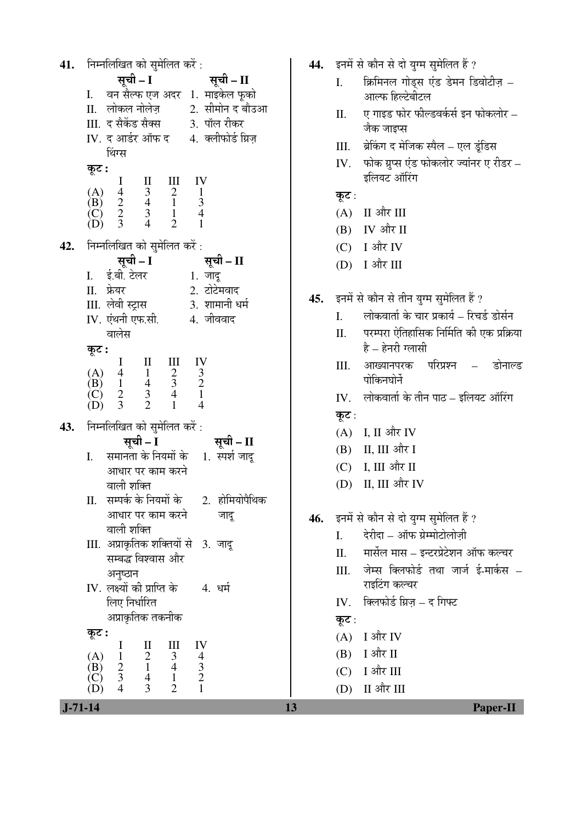निम्नलिखित को सुमेलित करें : 41. सची – I सची – II वन सैल्फ एज अदर 1. माइकेल फुको  $\mathbf{I}$ . II. लोकल नोलेज 2. सीमोन द बौउआ III. द सैकेंड सैक्स 3. पॉल रीकर 4. क्लीफोर्ड ग्रिज़ IV. द आर्डर ऑफ द थिंग्स कूट :  $\begin{array}{c} \text{III} \\ 2 \\ 1 \end{array}$  $rac{11}{3}$ IV <sup>1</sup>  $(A)$  $\overline{4}$  $\mathbf{1}$  $\frac{2}{3}$  $\overline{4}$ 3  $\overline{B}$ )  $\overline{(\text{C})}$ <br> $(\text{D})$ 3  $\frac{1}{2}$  $\overline{4}$  $\overline{4}$  $\mathbf{1}$ निम्नलिखित को सुमेलित करें : 42. सूची – I सूची – II ई.बी. टेलर  $\mathbf{I}$ .  $1.$  जाद II. फ्रेयर 2. टोटेमवाद III. लेवी स्ट्रास 3. शामानी धर्म IV. एंथनी एफ.सी. 4. जीववाद वालेस कूट : I  $\rm II$  $III$ IV  $rac{2}{3}$  $(A)$  $\overline{4}$  $\mathbf{1}$  $\frac{3}{2}$  $\overline{4}$  $(B)$  $\mathbf{1}$  $\overline{(\begin{matrix} C \\ D \end{matrix})}$  $\overline{2}$ 3  $\overline{4}$  $\overline{3}$  $\overline{2}$  $\mathbf{1}$  $\overline{4}$ निम्नलिखित को सुमेलित करें : 43. सूची – I सूची – II समानता के नियमों के 1. स्पर्श जाद  $\overline{L}$ आधार पर काम करने वाली शक्ति II. सम्पर्क के नियमों के 2. होमियोपैथिक आधार पर काम करने जादू वाली शक्ति III. अप्राकृतिक शक्तियों से 3. जादू सम्बद्ध विश्वास और अनुष्ठान IV. लक्ष्यों की प्राप्ति के 4. धर्म लिए निर्धारित अप्राकृतिक तकनीक कूट :  $\rm II$  $III$ IV I  $\frac{2}{1}$  $\mathfrak{Z}$  $\begin{array}{c} 4 \\ 3 \\ 2 \end{array}$  $(A)$  $\mathbf{1}$  $\overrightarrow{B}$  $\overline{2}$  $\overline{4}$ (C) 3  $\overline{4}$  $\mathbf{1}$  $(D)$  $\overline{4}$ 3  $\overline{2}$  $\mathbf 1$ 

- 44. इनमें से कौन से दो युग्म सुमेलित हैं ?
	- क्रिमिनल गोडस एंड डेमन डिवोटीज - $\mathbf{L}$ आल्फ हिल्टेबीटल
	- ए गाइड फोर फील्डवर्कर्स इन फोकलोर  $\Pi$ . जैक जाइप्स
	- ब्रेकिंग द मेजिक स्पैल एल इंडिस III.
	- फोक ग्रप्स एंड फोकलोर ज्यांनर ए रीडर IV. इलियट ऑरिंग
	- कूट :
	- $(A)$  II और III
	- (B) IV और II
	- $(C)$  I और IV
	- I और III (D)
- इनमें से कौन से तीन युग्म सुमेलित हैं ? 45.
	- लोकवार्ता के चार प्रकार्य रिचर्ड डोर्सन  $\overline{L}$
	- परम्परा ऐतिहासिक निर्मिति की एक प्रक्रिया II.  $\hat{\vec{\epsilon}} = \hat{\vec{\epsilon}}$ नरी ग्लासी
	- आख्यानपरक परिप्रश्न – III. डोनाल्ड पोकिनघोर्ने
	- लोकवार्ता के तीन पाठ इलियट ऑरिंग IV. कूट:
	- $(A)$  I, II और IV
	- (B) II, III और I
	- $(C)$  I, III और II
	- (D) II, III और IV
- इनमें से कौन से दो युग्म सुमेलित हैं ? 46.
	- $\overline{L}$ देरीदा – ऑफ ग्रेम्मोटोलोज़ी
	- मार्सेल मास इन्टरप्रेटेशन ऑफ कल्चर  $\Pi$ .
	- जेम्स क्लिफोर्ड तथा जार्ज ई-मार्कस III. राइटिंग कल्चर
	- IV. क्लिफोर्ड ग्रिज़ द गिफ्ट
	- कूट:
	- $(A)$  I और IV
	- $(B)$  I और II
	- ा और III  $(C)$
	- (D) II और III

 $J - 71 - 14$ 

13

**Paper-II**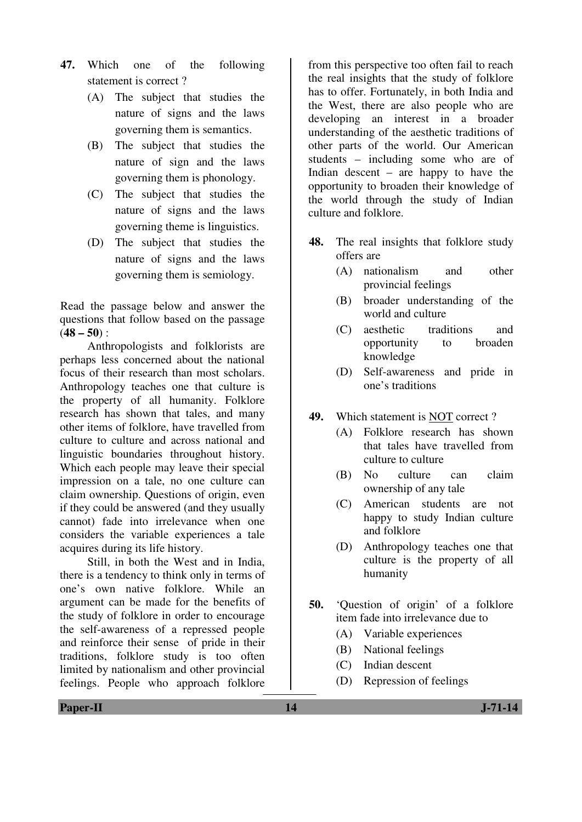- **47.** Which one of the following statement is correct ?
	- (A) The subject that studies the nature of signs and the laws governing them is semantics.
	- (B) The subject that studies the nature of sign and the laws governing them is phonology.
	- (C) The subject that studies the nature of signs and the laws governing theme is linguistics.
	- (D) The subject that studies the nature of signs and the laws governing them is semiology.

Read the passage below and answer the questions that follow based on the passage (**48 – 50**) :

 Anthropologists and folklorists are perhaps less concerned about the national focus of their research than most scholars. Anthropology teaches one that culture is the property of all humanity. Folklore research has shown that tales, and many other items of folklore, have travelled from culture to culture and across national and linguistic boundaries throughout history. Which each people may leave their special impression on a tale, no one culture can claim ownership. Questions of origin, even if they could be answered (and they usually cannot) fade into irrelevance when one considers the variable experiences a tale acquires during its life history.

 Still, in both the West and in India, there is a tendency to think only in terms of one's own native folklore. While an argument can be made for the benefits of the study of folklore in order to encourage the self-awareness of a repressed people and reinforce their sense of pride in their traditions, folklore study is too often limited by nationalism and other provincial feelings. People who approach folklore

from this perspective too often fail to reach the real insights that the study of folklore has to offer. Fortunately, in both India and the West, there are also people who are developing an interest in a broader understanding of the aesthetic traditions of other parts of the world. Our American students – including some who are of Indian descent – are happy to have the opportunity to broaden their knowledge of the world through the study of Indian culture and folklore.

- **48.** The real insights that folklore study offers are
	- (A) nationalism and other provincial feelings
	- (B) broader understanding of the world and culture
	- (C) aesthetic traditions and opportunity to broaden knowledge
	- (D) Self-awareness and pride in one's traditions
- **49.** Which statement is NOT correct ?
	- (A) Folklore research has shown that tales have travelled from culture to culture
	- (B) No culture can claim ownership of any tale
	- (C) American students are not happy to study Indian culture and folklore
	- (D) Anthropology teaches one that culture is the property of all humanity
- **50.** 'Question of origin' of a folklore item fade into irrelevance due to
	- (A) Variable experiences
	- (B) National feelings
	- (C) Indian descent
	- (D) Repression of feelings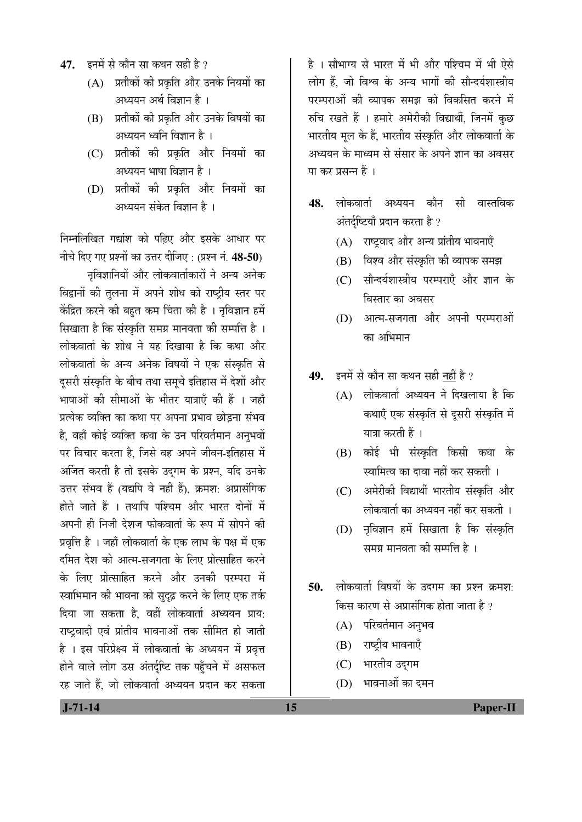- 47. Ent से कौन सा कथन सही है ?
	- $(A)$  प्रतीकों की प्रकृति और उनके नियमों का अध्ययन अर्थ विज्ञान है ।
	- (B) प्रतीकों की प्रकृति और उनके विषयों का अध्ययन ध्वनि विज्ञान है $\,$ ।
	- (C) प्रतीकों की प्रकृति और नियमों का अध्ययन भाषा विज्ञान है ।
	- (D) प्रतीकों की प्रकृति और नियमों का अध्ययन संकेत विज्ञान है ।

निम्नलिखित गद्यांश को पढ़िए और इसके आधार पर नीचे दिए गए प्रश्नों का उत्तर दीजिए : (प्रश्न नं. 48-50)

नृविज्ञानियों और लोकवार्ताकारों ने अन्य अनेक विद्वानों की तुलना में अपने शोध को राष्ट्रीय स्तर पर केंद्रित करने की बहुत कम चिंता की है । नृविज्ञान हमें <u>सिखाता है कि संस्कृति समग्र मानवता की सम्पत्ति है</u>ं। लोकवार्ता के शोध ने यह दिखाया है कि कथा और लोकवार्ता के अन्य अनेक विषयों ने एक संस्कृति से दुसरी संस्कृति के बीच तथा समुचे इतिहास में देशों और भाषाओं की सीमाओं के भीतर यात्राएँ की हैं । जहाँ प्रत्येक व्यक्ति का कथा पर अपना प्रभाव छोड़ना संभव है, वहाँ कोई व्यक्ति कथा के उन परिवर्तमान अनुभवों पर विचार करता है, जिसे वह अपने जीवन-इतिहास में अर्जित करती है तो इसके उदुगम के प्रश्न, यदि उनके उत्तर संभव हैं (यद्यपि वे नहीं हैं), क्रमश: अप्रासंगिक होते जाते हैं । तथापि पश्चिम और भारत दोनों में अपनी ही निजी देशज फोकवार्ता के रूप में सोपने की प्रवृत्ति है । जहाँ लोकवार्ता के एक लाभ के पक्ष में एक दमित देश को आत्म-सजगता के लिए प्रोत्साहित करने के लिए प्रोत्साहित करने और उनकी परम्परा में स्वाभिमान की भावना को सुदृढ़ करने के लिए एक तर्क दिया जा सकता है. वहीं लोकवार्ता अध्ययन प्राय: राष्ट्रवादी एवं प्रांतीय भावनाओं तक सीमित हो जाती है । इस परिप्रेक्ष्य में लोकवार्ता के अध्ययन में प्रवृत्त होने वाले लोग उस अंतर्दृष्टि तक पहुँचने में असफल रह जाते हैं. जो लोकवार्ता अध्ययन प्रदान कर सकता

है । सौभाग्य से भारत में भी और पश्चिम में भी ऐसे लोग हैं, जो विश्व के अन्य भागों की सौन्दर्यशास्त्रीय परम्पराओं की व्यापक समझ को विकसित करने में रुचि रखते हैं । हमारे अमेरीकी विद्यार्थी, जिनमें कुछ भारतीय मल के हैं. भारतीय संस्कृति और लोकवार्ता के अध्ययन के माध्यम से संसार के अपने ज्ञान का अवसर या कर प्रसन्न हैं ।

- **48.** लोकवार्ता अध्ययन कौन सी वास्तविक अंतर्दृष्टियाँ प्रदान करता है ?
	- $(A)$  राष्ट्रवाद और अन्य प्रांतीय भावनाएँ
	- (B) विश्व और संस्कृति की व्यापक समझ
	- (C) सौन्दर्यशास्त्रीय परम्पराएँ और ज्ञान के विस्तार का अवसर
	- $(D)$  आत्म-सजगता और अपनी परम्पराओं का अभिमान
- 49. इनमें से कौन सा कथन सही नहीं है ?
	- $(A)$  लोकवार्ता अध्ययन ने दिखलाया है कि कथाएँ एक संस्कृति से दूसरी संस्कृति में यात्रा करती हैं ।
	- (B) कोई भी संस्कृति किसी कथा के स्वामित्व का दावा नहीं कर सकती ।
	- (C) अमेरीकी विद्यार्थी भारतीय संस्कृति और लोकवार्ता का अध्ययन नहीं कर सकती ।
	- (D) नृविज्ञान हमें सिखाता है कि संस्कृति समग्र मानवता की सम्पत्ति है ।
- **50.** लोकवार्ता विषयों के उदगम का प्रश्न क्रमश: किस कारण से अप्रासंगिक होता जाता है ?
	- $(A)$  परिवर्तमान अनुभव
	- $(B)$  राष्ट्रीय भावनाएँ
	- (C) भारतीय उदुगम
	- (D) भावनाओं का दमन